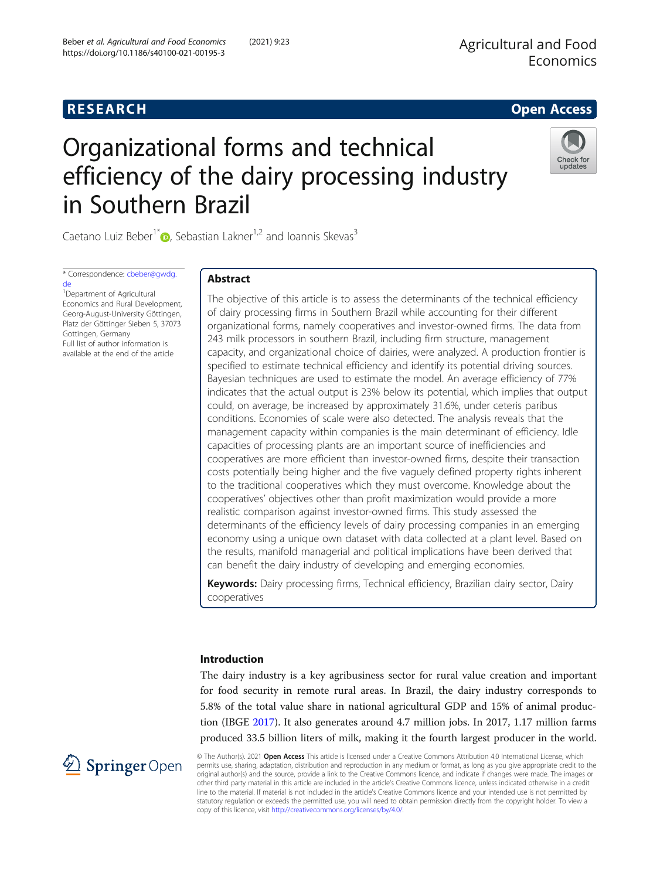# **RESEARCH RESEARCH CONSUMING ACCESS**

# Organizational forms and technical efficiency of the dairy processing industry in Southern Brazil



Caetano Luiz Beber<sup>1\*</sup><sup>1</sup> , Sebastian Lakner<sup>1,2</sup> and Ioannis Skevas<sup>3</sup>

\* Correspondence: [cbeber@gwdg.](mailto:cbeber@gwdg.de) [de](mailto:cbeber@gwdg.de)

<sup>1</sup>Department of Agricultural Economics and Rural Development, Georg-August-University Göttingen, Platz der Göttinger Sieben 5, 37073 Gottingen, Germany Full list of author information is available at the end of the article

# Abstract

The objective of this article is to assess the determinants of the technical efficiency of dairy processing firms in Southern Brazil while accounting for their different organizational forms, namely cooperatives and investor-owned firms. The data from 243 milk processors in southern Brazil, including firm structure, management capacity, and organizational choice of dairies, were analyzed. A production frontier is specified to estimate technical efficiency and identify its potential driving sources. Bayesian techniques are used to estimate the model. An average efficiency of 77% indicates that the actual output is 23% below its potential, which implies that output could, on average, be increased by approximately 31.6%, under ceteris paribus conditions. Economies of scale were also detected. The analysis reveals that the management capacity within companies is the main determinant of efficiency. Idle capacities of processing plants are an important source of inefficiencies and cooperatives are more efficient than investor-owned firms, despite their transaction costs potentially being higher and the five vaguely defined property rights inherent to the traditional cooperatives which they must overcome. Knowledge about the cooperatives' objectives other than profit maximization would provide a more realistic comparison against investor-owned firms. This study assessed the determinants of the efficiency levels of dairy processing companies in an emerging economy using a unique own dataset with data collected at a plant level. Based on the results, manifold managerial and political implications have been derived that can benefit the dairy industry of developing and emerging economies.

Keywords: Dairy processing firms, Technical efficiency, Brazilian dairy sector, Dairy cooperatives

# Introduction

The dairy industry is a key agribusiness sector for rural value creation and important for food security in remote rural areas. In Brazil, the dairy industry corresponds to 5.8% of the total value share in national agricultural GDP and 15% of animal production (IBGE [2017\)](#page-20-0). It also generates around 4.7 million jobs. In 2017, 1.17 million farms produced 33.5 billion liters of milk, making it the fourth largest producer in the world.



© The Author(s). 2021 Open Access This article is licensed under a Creative Commons Attribution 4.0 International License, which permits use, sharing, adaptation, distribution and reproduction in any medium or format, as long as you give appropriate credit to the original author(s) and the source, provide a link to the Creative Commons licence, and indicate if changes were made. The images or other third party material in this article are included in the article's Creative Commons licence, unless indicated otherwise in a credit line to the material. If material is not included in the article's Creative Commons licence and your intended use is not permitted by statutory regulation or exceeds the permitted use, you will need to obtain permission directly from the copyright holder. To view a copy of this licence, visit <http://creativecommons.org/licenses/by/4.0/>.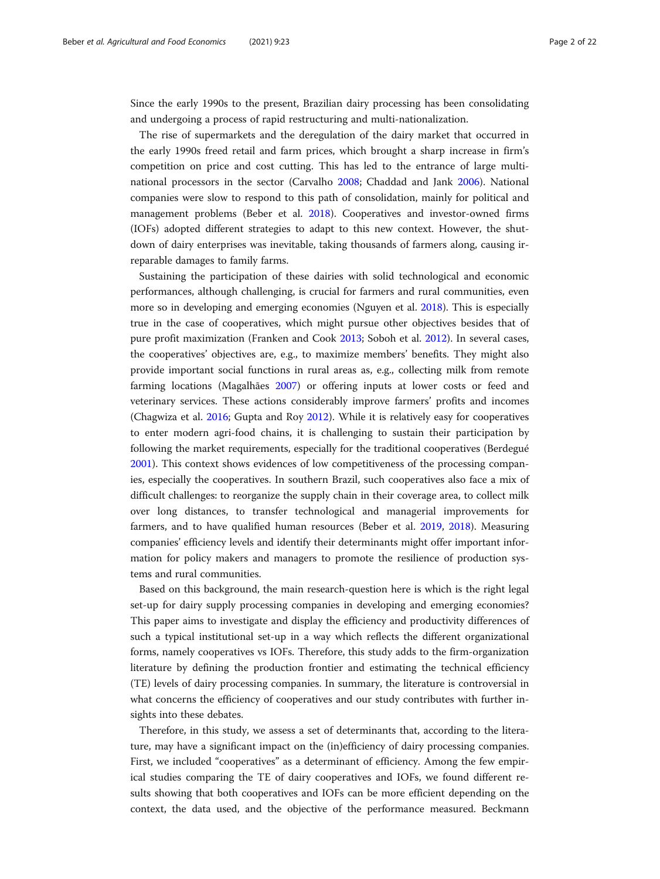Since the early 1990s to the present, Brazilian dairy processing has been consolidating and undergoing a process of rapid restructuring and multi-nationalization.

The rise of supermarkets and the deregulation of the dairy market that occurred in the early 1990s freed retail and farm prices, which brought a sharp increase in firm's competition on price and cost cutting. This has led to the entrance of large multinational processors in the sector (Carvalho [2008;](#page-19-0) Chaddad and Jank [2006\)](#page-20-0). National companies were slow to respond to this path of consolidation, mainly for political and management problems (Beber et al. [2018](#page-19-0)). Cooperatives and investor-owned firms (IOFs) adopted different strategies to adapt to this new context. However, the shutdown of dairy enterprises was inevitable, taking thousands of farmers along, causing irreparable damages to family farms.

Sustaining the participation of these dairies with solid technological and economic performances, although challenging, is crucial for farmers and rural communities, even more so in developing and emerging economies (Nguyen et al. [2018\)](#page-21-0). This is especially true in the case of cooperatives, which might pursue other objectives besides that of pure profit maximization (Franken and Cook [2013;](#page-20-0) Soboh et al. [2012](#page-21-0)). In several cases, the cooperatives' objectives are, e.g., to maximize members' benefits. They might also provide important social functions in rural areas as, e.g., collecting milk from remote farming locations (Magalhães [2007](#page-20-0)) or offering inputs at lower costs or feed and veterinary services. These actions considerably improve farmers' profits and incomes (Chagwiza et al. [2016](#page-20-0); Gupta and Roy [2012\)](#page-20-0). While it is relatively easy for cooperatives to enter modern agri-food chains, it is challenging to sustain their participation by following the market requirements, especially for the traditional cooperatives (Berdegué [2001](#page-19-0)). This context shows evidences of low competitiveness of the processing companies, especially the cooperatives. In southern Brazil, such cooperatives also face a mix of difficult challenges: to reorganize the supply chain in their coverage area, to collect milk over long distances, to transfer technological and managerial improvements for farmers, and to have qualified human resources (Beber et al. [2019,](#page-19-0) [2018\)](#page-19-0). Measuring companies' efficiency levels and identify their determinants might offer important information for policy makers and managers to promote the resilience of production systems and rural communities.

Based on this background, the main research-question here is which is the right legal set-up for dairy supply processing companies in developing and emerging economies? This paper aims to investigate and display the efficiency and productivity differences of such a typical institutional set-up in a way which reflects the different organizational forms, namely cooperatives vs IOFs. Therefore, this study adds to the firm-organization literature by defining the production frontier and estimating the technical efficiency (TE) levels of dairy processing companies. In summary, the literature is controversial in what concerns the efficiency of cooperatives and our study contributes with further insights into these debates.

Therefore, in this study, we assess a set of determinants that, according to the literature, may have a significant impact on the (in)efficiency of dairy processing companies. First, we included "cooperatives" as a determinant of efficiency. Among the few empirical studies comparing the TE of dairy cooperatives and IOFs, we found different results showing that both cooperatives and IOFs can be more efficient depending on the context, the data used, and the objective of the performance measured. Beckmann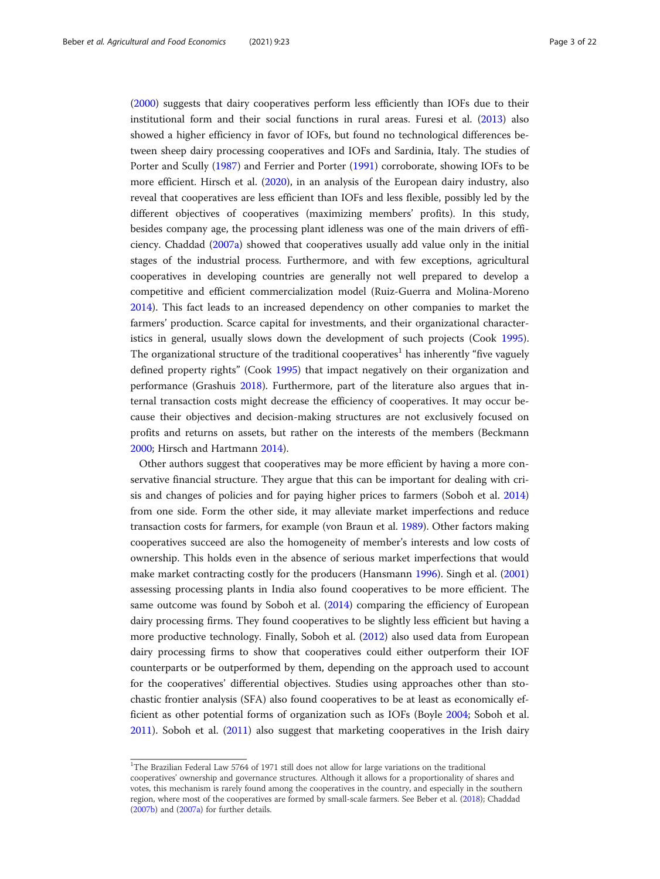([2000](#page-19-0)) suggests that dairy cooperatives perform less efficiently than IOFs due to their institutional form and their social functions in rural areas. Furesi et al. [\(2013\)](#page-20-0) also showed a higher efficiency in favor of IOFs, but found no technological differences between sheep dairy processing cooperatives and IOFs and Sardinia, Italy. The studies of Porter and Scully ([1987](#page-21-0)) and Ferrier and Porter ([1991](#page-20-0)) corroborate, showing IOFs to be more efficient. Hirsch et al. [\(2020\)](#page-20-0), in an analysis of the European dairy industry, also reveal that cooperatives are less efficient than IOFs and less flexible, possibly led by the different objectives of cooperatives (maximizing members' profits). In this study, besides company age, the processing plant idleness was one of the main drivers of efficiency. Chaddad ([2007a\)](#page-20-0) showed that cooperatives usually add value only in the initial stages of the industrial process. Furthermore, and with few exceptions, agricultural cooperatives in developing countries are generally not well prepared to develop a competitive and efficient commercialization model (Ruiz-Guerra and Molina-Moreno [2014](#page-21-0)). This fact leads to an increased dependency on other companies to market the farmers' production. Scarce capital for investments, and their organizational characteristics in general, usually slows down the development of such projects (Cook [1995](#page-20-0)). The organizational structure of the traditional cooperatives<sup>1</sup> has inherently "five vaguely defined property rights" (Cook [1995\)](#page-20-0) that impact negatively on their organization and performance (Grashuis [2018\)](#page-20-0). Furthermore, part of the literature also argues that internal transaction costs might decrease the efficiency of cooperatives. It may occur because their objectives and decision-making structures are not exclusively focused on profits and returns on assets, but rather on the interests of the members (Beckmann [2000](#page-19-0); Hirsch and Hartmann [2014](#page-20-0)).

Other authors suggest that cooperatives may be more efficient by having a more conservative financial structure. They argue that this can be important for dealing with crisis and changes of policies and for paying higher prices to farmers (Soboh et al. [2014](#page-21-0)) from one side. Form the other side, it may alleviate market imperfections and reduce transaction costs for farmers, for example (von Braun et al. [1989\)](#page-21-0). Other factors making cooperatives succeed are also the homogeneity of member's interests and low costs of ownership. This holds even in the absence of serious market imperfections that would make market contracting costly for the producers (Hansmann [1996\)](#page-20-0). Singh et al. ([2001](#page-21-0)) assessing processing plants in India also found cooperatives to be more efficient. The same outcome was found by Soboh et al. ([2014](#page-21-0)) comparing the efficiency of European dairy processing firms. They found cooperatives to be slightly less efficient but having a more productive technology. Finally, Soboh et al. [\(2012](#page-21-0)) also used data from European dairy processing firms to show that cooperatives could either outperform their IOF counterparts or be outperformed by them, depending on the approach used to account for the cooperatives' differential objectives. Studies using approaches other than stochastic frontier analysis (SFA) also found cooperatives to be at least as economically efficient as other potential forms of organization such as IOFs (Boyle [2004](#page-19-0); Soboh et al. [2011](#page-21-0)). Soboh et al. [\(2011](#page-21-0)) also suggest that marketing cooperatives in the Irish dairy

<sup>&</sup>lt;sup>1</sup>The Brazilian Federal Law 5764 of 1971 still does not allow for large variations on the traditional cooperatives' ownership and governance structures. Although it allows for a proportionality of shares and votes, this mechanism is rarely found among the cooperatives in the country, and especially in the southern region, where most of the cooperatives are formed by small-scale farmers. See Beber et al. ([2018](#page-19-0)); Chaddad [\(2007b\)](#page-19-0) and ([2007a\)](#page-19-0) for further details.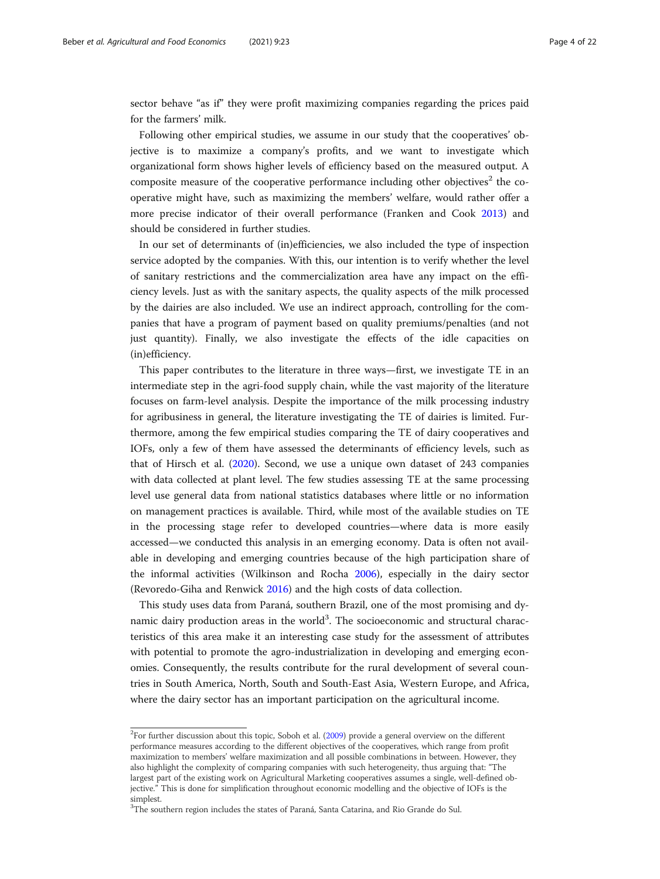sector behave "as if" they were profit maximizing companies regarding the prices paid for the farmers' milk.

Following other empirical studies, we assume in our study that the cooperatives' objective is to maximize a company's profits, and we want to investigate which organizational form shows higher levels of efficiency based on the measured output. A composite measure of the cooperative performance including other objectives<sup>2</sup> the cooperative might have, such as maximizing the members' welfare, would rather offer a more precise indicator of their overall performance (Franken and Cook [2013](#page-20-0)) and should be considered in further studies.

In our set of determinants of (in)efficiencies, we also included the type of inspection service adopted by the companies. With this, our intention is to verify whether the level of sanitary restrictions and the commercialization area have any impact on the efficiency levels. Just as with the sanitary aspects, the quality aspects of the milk processed by the dairies are also included. We use an indirect approach, controlling for the companies that have a program of payment based on quality premiums/penalties (and not just quantity). Finally, we also investigate the effects of the idle capacities on (in)efficiency.

This paper contributes to the literature in three ways—first, we investigate TE in an intermediate step in the agri-food supply chain, while the vast majority of the literature focuses on farm-level analysis. Despite the importance of the milk processing industry for agribusiness in general, the literature investigating the TE of dairies is limited. Furthermore, among the few empirical studies comparing the TE of dairy cooperatives and IOFs, only a few of them have assessed the determinants of efficiency levels, such as that of Hirsch et al. ([2020](#page-20-0)). Second, we use a unique own dataset of 243 companies with data collected at plant level. The few studies assessing TE at the same processing level use general data from national statistics databases where little or no information on management practices is available. Third, while most of the available studies on TE in the processing stage refer to developed countries—where data is more easily accessed—we conducted this analysis in an emerging economy. Data is often not available in developing and emerging countries because of the high participation share of the informal activities (Wilkinson and Rocha [2006\)](#page-21-0), especially in the dairy sector (Revoredo-Giha and Renwick [2016](#page-21-0)) and the high costs of data collection.

This study uses data from Paraná, southern Brazil, one of the most promising and dynamic dairy production areas in the world<sup>3</sup>. The socioeconomic and structural characteristics of this area make it an interesting case study for the assessment of attributes with potential to promote the agro-industrialization in developing and emerging economies. Consequently, the results contribute for the rural development of several countries in South America, North, South and South-East Asia, Western Europe, and Africa, where the dairy sector has an important participation on the agricultural income.

 $2$ For further discussion about this topic, Soboh et al. [\(2009\)](#page-21-0) provide a general overview on the different performance measures according to the different objectives of the cooperatives, which range from profit maximization to members' welfare maximization and all possible combinations in between. However, they also highlight the complexity of comparing companies with such heterogeneity, thus arguing that: "The largest part of the existing work on Agricultural Marketing cooperatives assumes a single, well-defined objective." This is done for simplification throughout economic modelling and the objective of IOFs is the simplest.

<sup>&</sup>lt;sup>3</sup>The southern region includes the states of Paraná, Santa Catarina, and Rio Grande do Sul.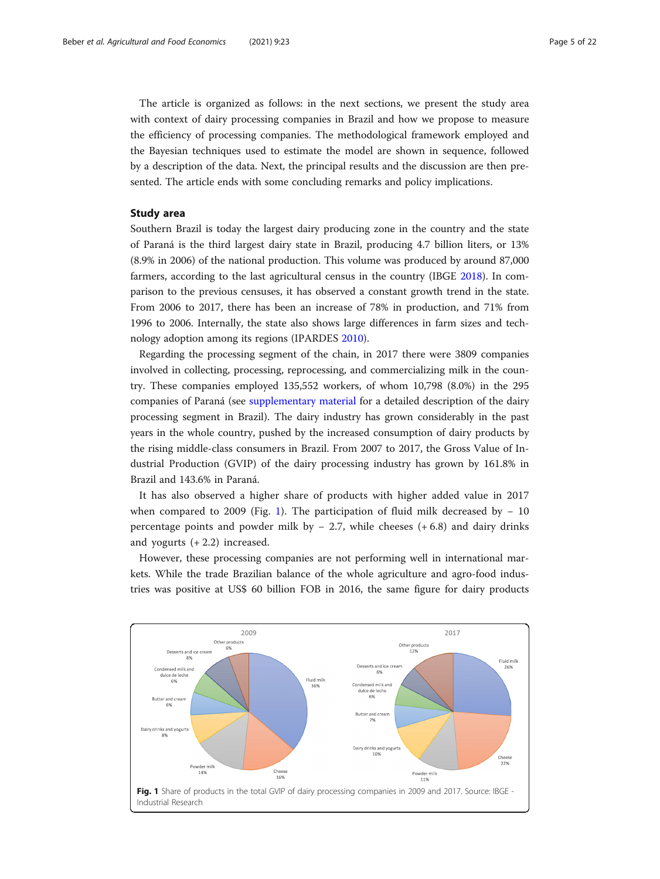The article is organized as follows: in the next sections, we present the study area with context of dairy processing companies in Brazil and how we propose to measure the efficiency of processing companies. The methodological framework employed and the Bayesian techniques used to estimate the model are shown in sequence, followed by a description of the data. Next, the principal results and the discussion are then presented. The article ends with some concluding remarks and policy implications.

## Study area

Southern Brazil is today the largest dairy producing zone in the country and the state of Paraná is the third largest dairy state in Brazil, producing 4.7 billion liters, or 13% (8.9% in 2006) of the national production. This volume was produced by around 87,000 farmers, according to the last agricultural census in the country (IBGE [2018](#page-20-0)). In comparison to the previous censuses, it has observed a constant growth trend in the state. From 2006 to 2017, there has been an increase of 78% in production, and 71% from 1996 to 2006. Internally, the state also shows large differences in farm sizes and technology adoption among its regions (IPARDES [2010](#page-20-0)).

Regarding the processing segment of the chain, in 2017 there were 3809 companies involved in collecting, processing, reprocessing, and commercializing milk in the country. These companies employed 135,552 workers, of whom 10,798 (8.0%) in the 295 companies of Paraná (see [supplementary material](#page-19-0) for a detailed description of the dairy processing segment in Brazil). The dairy industry has grown considerably in the past years in the whole country, pushed by the increased consumption of dairy products by the rising middle-class consumers in Brazil. From 2007 to 2017, the Gross Value of Industrial Production (GVIP) of the dairy processing industry has grown by 161.8% in Brazil and 143.6% in Paraná.

It has also observed a higher share of products with higher added value in 2017 when compared to 2009 (Fig. 1). The participation of fluid milk decreased by  $-10$ percentage points and powder milk by − 2.7, while cheeses (+ 6.8) and dairy drinks and yogurts  $(+ 2.2)$  increased.

However, these processing companies are not performing well in international markets. While the trade Brazilian balance of the whole agriculture and agro-food industries was positive at US\$ 60 billion FOB in 2016, the same figure for dairy products

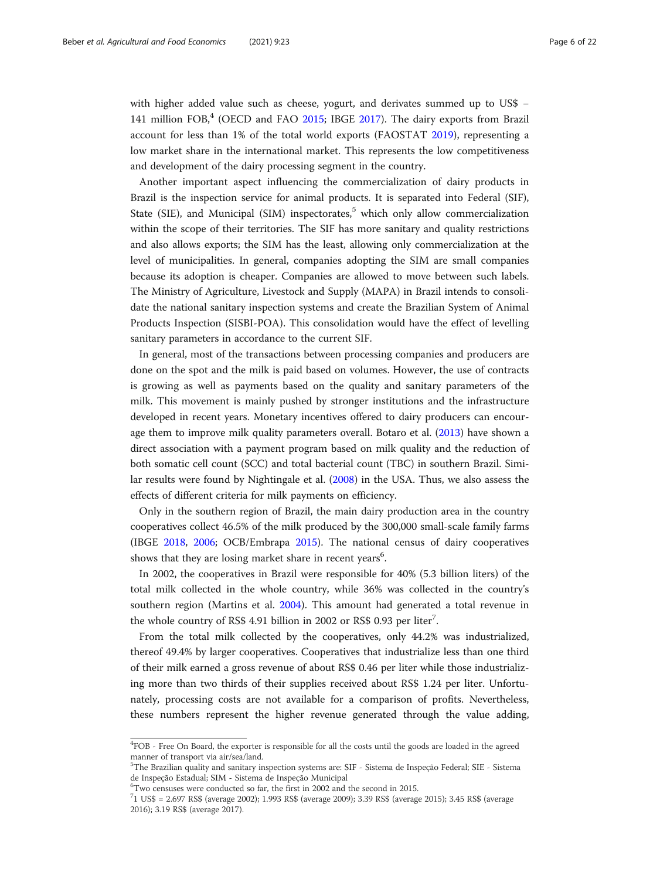with higher added value such as cheese, yogurt, and derivates summed up to US\$ − 141 million  $FOB<sub>1</sub><sup>4</sup>$  (OECD and FAO [2015;](#page-21-0) IBGE [2017\)](#page-20-0). The dairy exports from Brazil account for less than 1% of the total world exports (FAOSTAT [2019](#page-20-0)), representing a low market share in the international market. This represents the low competitiveness and development of the dairy processing segment in the country.

Another important aspect influencing the commercialization of dairy products in Brazil is the inspection service for animal products. It is separated into Federal (SIF), State (SIE), and Municipal (SIM) inspectorates,<sup>5</sup> which only allow commercialization within the scope of their territories. The SIF has more sanitary and quality restrictions and also allows exports; the SIM has the least, allowing only commercialization at the level of municipalities. In general, companies adopting the SIM are small companies because its adoption is cheaper. Companies are allowed to move between such labels. The Ministry of Agriculture, Livestock and Supply (MAPA) in Brazil intends to consolidate the national sanitary inspection systems and create the Brazilian System of Animal Products Inspection (SISBI-POA). This consolidation would have the effect of levelling sanitary parameters in accordance to the current SIF.

In general, most of the transactions between processing companies and producers are done on the spot and the milk is paid based on volumes. However, the use of contracts is growing as well as payments based on the quality and sanitary parameters of the milk. This movement is mainly pushed by stronger institutions and the infrastructure developed in recent years. Monetary incentives offered to dairy producers can encourage them to improve milk quality parameters overall. Botaro et al. ([2013\)](#page-19-0) have shown a direct association with a payment program based on milk quality and the reduction of both somatic cell count (SCC) and total bacterial count (TBC) in southern Brazil. Similar results were found by Nightingale et al. [\(2008\)](#page-21-0) in the USA. Thus, we also assess the effects of different criteria for milk payments on efficiency.

Only in the southern region of Brazil, the main dairy production area in the country cooperatives collect 46.5% of the milk produced by the 300,000 small-scale family farms (IBGE [2018](#page-20-0), [2006](#page-20-0); OCB/Embrapa [2015](#page-21-0)). The national census of dairy cooperatives shows that they are losing market share in recent years $^6$ .

In 2002, the cooperatives in Brazil were responsible for 40% (5.3 billion liters) of the total milk collected in the whole country, while 36% was collected in the country's southern region (Martins et al. [2004\)](#page-20-0). This amount had generated a total revenue in the whole country of RS\$ 4.91 billion in 2002 or RS\$ 0.93 per liter<sup>7</sup>.

From the total milk collected by the cooperatives, only 44.2% was industrialized, thereof 49.4% by larger cooperatives. Cooperatives that industrialize less than one third of their milk earned a gross revenue of about RS\$ 0.46 per liter while those industrializing more than two thirds of their supplies received about RS\$ 1.24 per liter. Unfortunately, processing costs are not available for a comparison of profits. Nevertheless, these numbers represent the higher revenue generated through the value adding,

<sup>&</sup>lt;sup>4</sup>FOB - Free On Board, the exporter is responsible for all the costs until the goods are loaded in the agreed manner of transport via air/sea/land.

<sup>5</sup> The Brazilian quality and sanitary inspection systems are: SIF - Sistema de Inspeção Federal; SIE - Sistema de Inspeção Estadual; SIM - Sistema de Inspeção Municipal <sup>6</sup>

Two censuses were conducted so far, the first in 2002 and the second in 2015.

<sup>7</sup> 1 US\$ = 2.697 RS\$ (average 2002); 1.993 RS\$ (average 2009); 3.39 RS\$ (average 2015); 3.45 RS\$ (average 2016); 3.19 RS\$ (average 2017).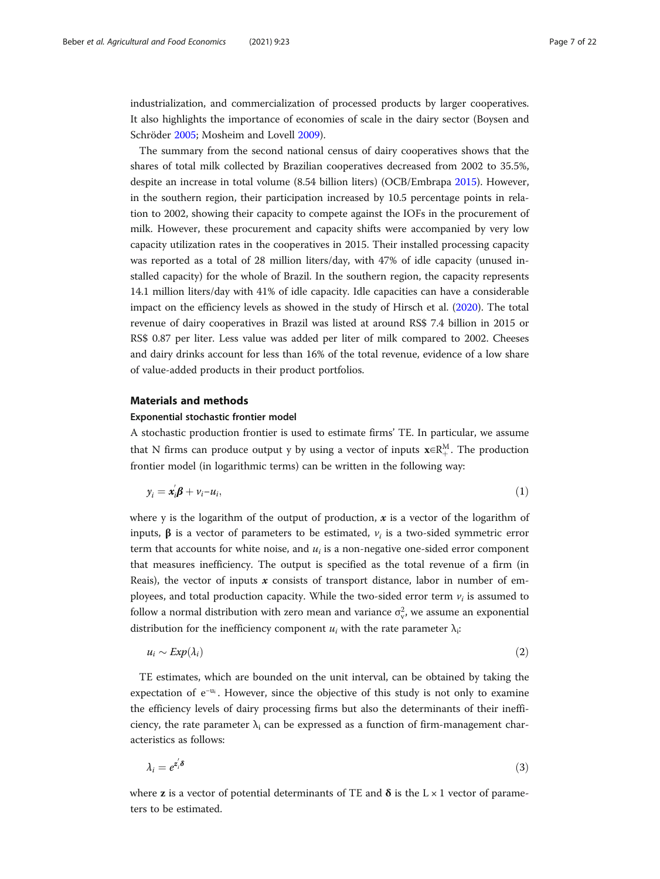<span id="page-6-0"></span>industrialization, and commercialization of processed products by larger cooperatives. It also highlights the importance of economies of scale in the dairy sector (Boysen and Schröder [2005](#page-19-0); Mosheim and Lovell [2009\)](#page-21-0).

The summary from the second national census of dairy cooperatives shows that the shares of total milk collected by Brazilian cooperatives decreased from 2002 to 35.5%, despite an increase in total volume (8.54 billion liters) (OCB/Embrapa [2015](#page-21-0)). However, in the southern region, their participation increased by 10.5 percentage points in relation to 2002, showing their capacity to compete against the IOFs in the procurement of milk. However, these procurement and capacity shifts were accompanied by very low capacity utilization rates in the cooperatives in 2015. Their installed processing capacity was reported as a total of 28 million liters/day, with 47% of idle capacity (unused installed capacity) for the whole of Brazil. In the southern region, the capacity represents 14.1 million liters/day with 41% of idle capacity. Idle capacities can have a considerable impact on the efficiency levels as showed in the study of Hirsch et al. ([2020](#page-20-0)). The total revenue of dairy cooperatives in Brazil was listed at around RS\$ 7.4 billion in 2015 or RS\$ 0.87 per liter. Less value was added per liter of milk compared to 2002. Cheeses and dairy drinks account for less than 16% of the total revenue, evidence of a low share of value-added products in their product portfolios.

# Materials and methods

# Exponential stochastic frontier model

A stochastic production frontier is used to estimate firms' TE. In particular, we assume that N firms can produce output y by using a vector of inputs  $\mathbf{x} \in \mathbb{R}_{+}^{M}$ . The production frontier model (in logarithmic terms) can be written in the following way:

$$
y_i = \mathbf{x}_i' \mathbf{\beta} + v_i - u_i,\tag{1}
$$

where y is the logarithm of the output of production,  $x$  is a vector of the logarithm of inputs,  $\beta$  is a vector of parameters to be estimated,  $v_i$  is a two-sided symmetric error term that accounts for white noise, and  $u_i$  is a non-negative one-sided error component that measures inefficiency. The output is specified as the total revenue of a firm (in Reais), the vector of inputs  $x$  consists of transport distance, labor in number of employees, and total production capacity. While the two-sided error term  $v_i$  is assumed to follow a normal distribution with zero mean and variance  $\sigma_{\rm v}^2$ , we assume an exponential distribution for the inefficiency component  $u_i$  with the rate parameter  $\lambda_i$ :

$$
u_i \sim Exp(\lambda_i) \tag{2}
$$

TE estimates, which are bounded on the unit interval, can be obtained by taking the expectation of  $e^{-u_i}$ . However, since the objective of this study is not only to examine the efficiency levels of dairy processing firms but also the determinants of their inefficiency, the rate parameter  $\lambda_i$  can be expressed as a function of firm-management characteristics as follows:

$$
\lambda_i = e^{z_i' \delta} \tag{3}
$$

where **z** is a vector of potential determinants of TE and  $\delta$  is the L  $\times$  1 vector of parameters to be estimated.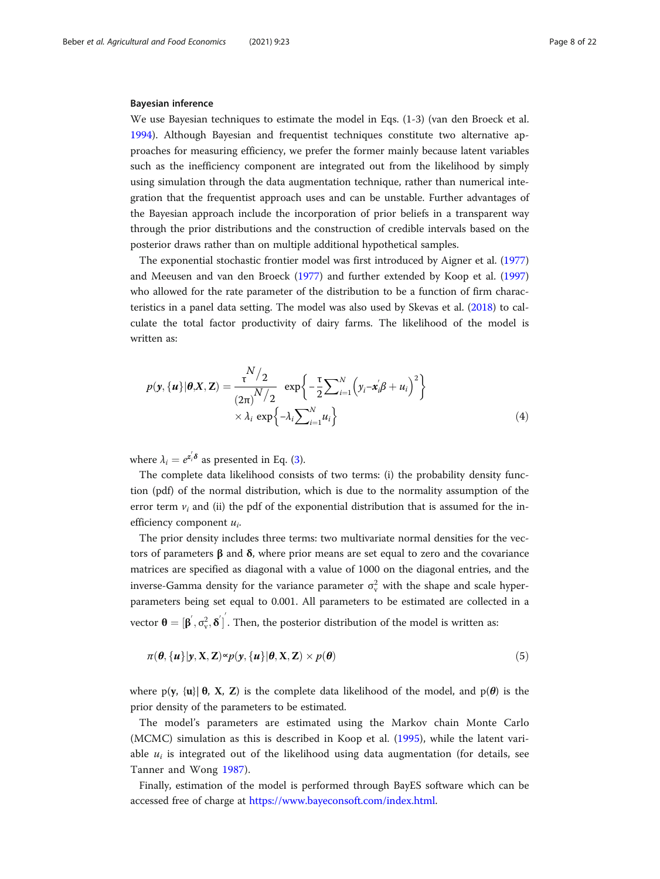#### Bayesian inference

We use Bayesian techniques to estimate the model in Eqs. (1-3) (van den Broeck et al. [1994](#page-21-0)). Although Bayesian and frequentist techniques constitute two alternative approaches for measuring efficiency, we prefer the former mainly because latent variables such as the inefficiency component are integrated out from the likelihood by simply using simulation through the data augmentation technique, rather than numerical integration that the frequentist approach uses and can be unstable. Further advantages of the Bayesian approach include the incorporation of prior beliefs in a transparent way through the prior distributions and the construction of credible intervals based on the posterior draws rather than on multiple additional hypothetical samples.

The exponential stochastic frontier model was first introduced by Aigner et al. ([1977](#page-19-0)) and Meeusen and van den Broeck ([1977\)](#page-20-0) and further extended by Koop et al. ([1997](#page-20-0)) who allowed for the rate parameter of the distribution to be a function of firm characteristics in a panel data setting. The model was also used by Skevas et al. [\(2018\)](#page-21-0) to calculate the total factor productivity of dairy farms. The likelihood of the model is written as:

$$
p(\mathbf{y}, {\mathbf{u}} | \boldsymbol{\theta}, \mathbf{X}, \mathbf{Z}) = \frac{\mathbf{v}^{N}/2}{(2\pi)^{N}/2} \exp\left\{-\frac{\mathbf{v}}{2}\sum_{i=1}^{N}\left(y_{i} - \mathbf{x}_{i}^{'}\boldsymbol{\beta} + u_{i}\right)^{2}\right\} \times \lambda_{i} \exp\left\{-\lambda_{i}\sum_{i=1}^{N}u_{i}\right\}
$$
(4)

where  $\lambda_i = e^{z_i \delta}$  as presented in Eq. ([3\)](#page-6-0).

The complete data likelihood consists of two terms: (i) the probability density function (pdf) of the normal distribution, which is due to the normality assumption of the error term  $v_i$  and (ii) the pdf of the exponential distribution that is assumed for the inefficiency component  $u_i$ .

The prior density includes three terms: two multivariate normal densities for the vectors of parameters β and δ, where prior means are set equal to zero and the covariance matrices are specified as diagonal with a value of 1000 on the diagonal entries, and the inverse-Gamma density for the variance parameter  $\sigma_v^2$  with the shape and scale hyperparameters being set equal to 0.001. All parameters to be estimated are collected in a vector  $\boldsymbol{\theta} = [\boldsymbol{\beta}', \sigma_v^2, \boldsymbol{\delta}']$ . Then, the posterior distribution of the model is written as:

$$
\pi(\boldsymbol{\theta}, {\{u\}} | \mathbf{y}, \mathbf{X}, \mathbf{Z}) \propto p(\mathbf{y}, {\{u\}} | \boldsymbol{\theta}, \mathbf{X}, \mathbf{Z}) \times p(\boldsymbol{\theta})
$$
\n(5)

where p(y, {u}  $\theta$ , X, Z) is the complete data likelihood of the model, and p( $\theta$ ) is the prior density of the parameters to be estimated.

The model's parameters are estimated using the Markov chain Monte Carlo (MCMC) simulation as this is described in Koop et al. ([1995\)](#page-20-0), while the latent variable  $u_i$  is integrated out of the likelihood using data augmentation (for details, see Tanner and Wong [1987\)](#page-21-0).

Finally, estimation of the model is performed through BayES software which can be accessed free of charge at [https://www.bayeconsoft.com/index.html.](https://www.bayeconsoft.com/index.html)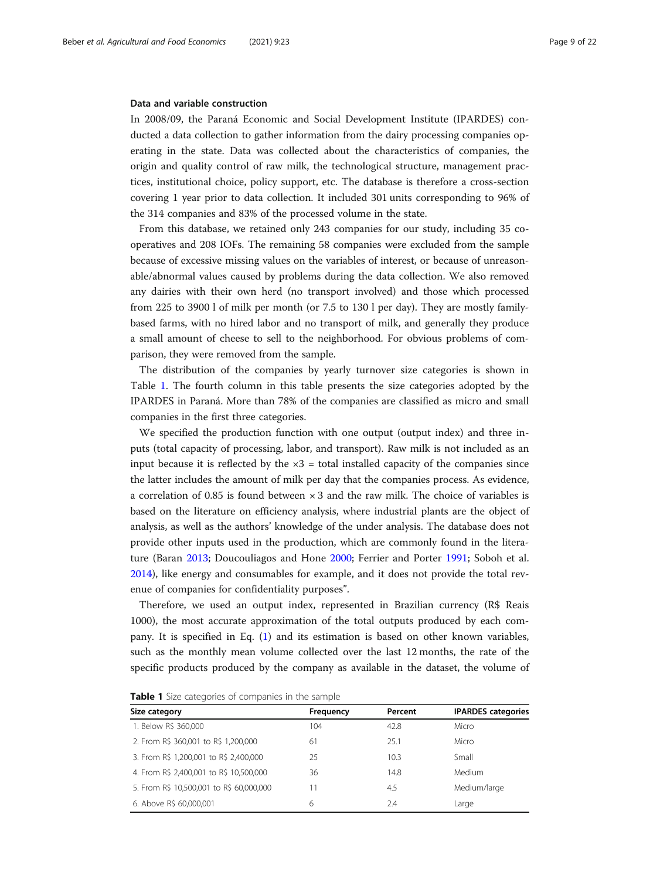# Data and variable construction

In 2008/09, the Paraná Economic and Social Development Institute (IPARDES) conducted a data collection to gather information from the dairy processing companies operating in the state. Data was collected about the characteristics of companies, the origin and quality control of raw milk, the technological structure, management practices, institutional choice, policy support, etc. The database is therefore a cross-section covering 1 year prior to data collection. It included 301 units corresponding to 96% of the 314 companies and 83% of the processed volume in the state.

From this database, we retained only 243 companies for our study, including 35 cooperatives and 208 IOFs. The remaining 58 companies were excluded from the sample because of excessive missing values on the variables of interest, or because of unreasonable/abnormal values caused by problems during the data collection. We also removed any dairies with their own herd (no transport involved) and those which processed from 225 to 3900 l of milk per month (or 7.5 to 130 l per day). They are mostly familybased farms, with no hired labor and no transport of milk, and generally they produce a small amount of cheese to sell to the neighborhood. For obvious problems of comparison, they were removed from the sample.

The distribution of the companies by yearly turnover size categories is shown in Table 1. The fourth column in this table presents the size categories adopted by the IPARDES in Paraná. More than 78% of the companies are classified as micro and small companies in the first three categories.

We specified the production function with one output (output index) and three inputs (total capacity of processing, labor, and transport). Raw milk is not included as an input because it is reflected by the  $\times 3$  = total installed capacity of the companies since the latter includes the amount of milk per day that the companies process. As evidence, a correlation of 0.85 is found between  $\times$  3 and the raw milk. The choice of variables is based on the literature on efficiency analysis, where industrial plants are the object of analysis, as well as the authors' knowledge of the under analysis. The database does not provide other inputs used in the production, which are commonly found in the literature (Baran [2013](#page-19-0); Doucouliagos and Hone [2000;](#page-20-0) Ferrier and Porter [1991](#page-20-0); Soboh et al. [2014](#page-21-0)), like energy and consumables for example, and it does not provide the total revenue of companies for confidentiality purposes".

Therefore, we used an output index, represented in Brazilian currency (R\$ Reais 1000), the most accurate approximation of the total outputs produced by each company. It is specified in Eq. [\(1\)](#page-6-0) and its estimation is based on other known variables, such as the monthly mean volume collected over the last 12 months, the rate of the specific products produced by the company as available in the dataset, the volume of

| Size category                            | Frequency | Percent | <b>IPARDES</b> categories |
|------------------------------------------|-----------|---------|---------------------------|
| 1. Below R\$ 360,000                     | 104       | 42.8    | Micro                     |
| 2. From R\$ 360,001 to R\$ 1,200,000     | 61        | 25.1    | Micro                     |
| 3. From R\$ 1,200,001 to R\$ 2,400,000   | 25        | 10.3    | Small                     |
| 4. From R\$ 2,400,001 to R\$ 10,500,000  | 36        | 14.8    | Medium                    |
| 5. From R\$ 10,500,001 to R\$ 60,000,000 | 11        | 4.5     | Medium/large              |
| 6. Above R\$ 60,000,001                  | 6         | 2.4     | Large                     |

Table 1 Size categories of companies in the sample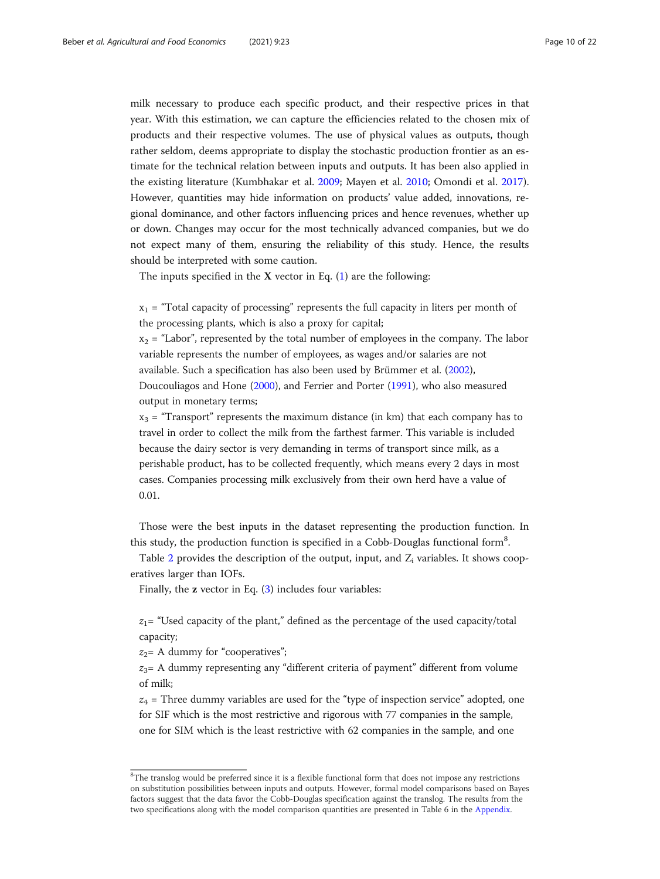milk necessary to produce each specific product, and their respective prices in that year. With this estimation, we can capture the efficiencies related to the chosen mix of products and their respective volumes. The use of physical values as outputs, though rather seldom, deems appropriate to display the stochastic production frontier as an estimate for the technical relation between inputs and outputs. It has been also applied in the existing literature (Kumbhakar et al. [2009;](#page-20-0) Mayen et al. [2010](#page-20-0); Omondi et al. [2017](#page-21-0)). However, quantities may hide information on products' value added, innovations, regional dominance, and other factors influencing prices and hence revenues, whether up or down. Changes may occur for the most technically advanced companies, but we do not expect many of them, ensuring the reliability of this study. Hence, the results should be interpreted with some caution.

The inputs specified in the  $X$  vector in Eq.  $(1)$  $(1)$  are the following:

 $x_1$  = "Total capacity of processing" represents the full capacity in liters per month of the processing plants, which is also a proxy for capital;

 $x<sub>2</sub>$  = "Labor", represented by the total number of employees in the company. The labor variable represents the number of employees, as wages and/or salaries are not available. Such a specification has also been used by Brümmer et al. ([2002\)](#page-19-0), Doucouliagos and Hone ([2000](#page-20-0)), and Ferrier and Porter ([1991](#page-20-0)), who also measured output in monetary terms;

 $x_3$  = "Transport" represents the maximum distance (in km) that each company has to travel in order to collect the milk from the farthest farmer. This variable is included because the dairy sector is very demanding in terms of transport since milk, as a perishable product, has to be collected frequently, which means every 2 days in most cases. Companies processing milk exclusively from their own herd have a value of 0.01.

Those were the best inputs in the dataset representing the production function. In this study, the production function is specified in a Cobb-Douglas functional form<sup>8</sup>.

Table [2](#page-10-0) provides the description of the output, input, and  $Z_i$  variables. It shows cooperatives larger than IOFs.

Finally, the z vector in Eq. [\(3](#page-6-0)) includes four variables:

 $z_1$ = "Used capacity of the plant," defined as the percentage of the used capacity/total capacity;

 $z_2$ = A dummy for "cooperatives";

 $z_3$ = A dummy representing any "different criteria of payment" different from volume of milk;

 $z_4$  = Three dummy variables are used for the "type of inspection service" adopted, one for SIF which is the most restrictive and rigorous with 77 companies in the sample, one for SIM which is the least restrictive with 62 companies in the sample, and one

<sup>&</sup>lt;sup>8</sup>The translog would be preferred since it is a flexible functional form that does not impose any restrictions on substitution possibilities between inputs and outputs. However, formal model comparisons based on Bayes factors suggest that the data favor the Cobb-Douglas specification against the translog. The results from the two specifications along with the model comparison quantities are presented in Table 6 in the [Appendix.](#page-18-0)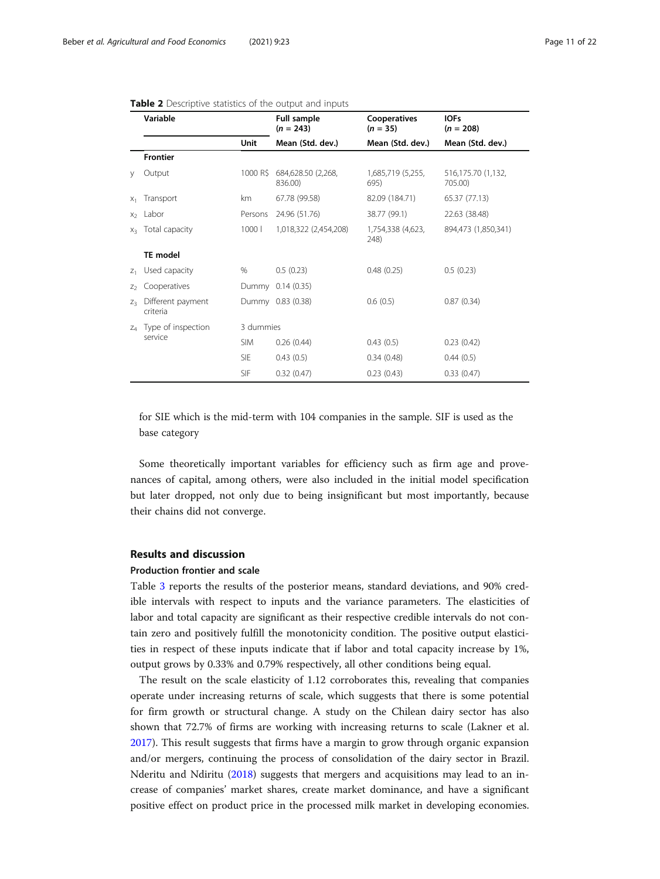<span id="page-10-0"></span>

|  |  |  | <b>Table 2</b> Descriptive statistics of the output and inputs |  |  |  |  |  |  |
|--|--|--|----------------------------------------------------------------|--|--|--|--|--|--|
|--|--|--|----------------------------------------------------------------|--|--|--|--|--|--|

| Variable       |                                   | Full sample<br>$(n = 243)$ | Cooperatives<br>$(n = 35)$    | <b>IOFs</b><br>$(n = 208)$ |                               |
|----------------|-----------------------------------|----------------------------|-------------------------------|----------------------------|-------------------------------|
|                |                                   | Unit                       | Mean (Std. dev.)              | Mean (Std. dev.)           | Mean (Std. dev.)              |
|                | <b>Frontier</b>                   |                            |                               |                            |                               |
| y              | Output                            | 1000 R\$                   | 684,628.50 (2,268,<br>836.00) | 1,685,719 (5,255,<br>695)  | 516,175.70 (1,132,<br>705.00) |
| $X_1$          | Transport                         | km                         | 67.78 (99.58)                 | 82.09 (184.71)             | 65.37 (77.13)                 |
|                | $x_2$ Labor                       | Persons                    | 24.96 (51.76)                 | 38.77 (99.1)               | 22.63 (38.48)                 |
| $X_2$          | Total capacity                    | 1000                       | 1,018,322 (2,454,208)         | 1,754,338 (4,623,<br>248)  | 894,473 (1,850,341)           |
|                | <b>TE</b> model                   |                            |                               |                            |                               |
| $Z_1$          | Used capacity                     | $\%$                       | 0.5(0.23)                     | 0.48(0.25)                 | 0.5(0.23)                     |
| Z <sub>2</sub> | Cooperatives                      |                            | Dummy 0.14 (0.35)             |                            |                               |
| $Z_2$          | Different payment<br>criteria     |                            | Dummy 0.83 (0.38)             | 0.6(0.5)                   | 0.87(0.34)                    |
|                | z <sub>4</sub> Type of inspection | 3 dummies                  |                               |                            |                               |
|                | service                           | <b>SIM</b>                 | 0.26(0.44)                    | 0.43(0.5)                  | 0.23(0.42)                    |
|                |                                   | <b>SIE</b>                 | 0.43(0.5)                     | 0.34(0.48)                 | 0.44(0.5)                     |
|                |                                   | <b>SIF</b>                 | 0.32(0.47)                    | 0.23(0.43)                 | 0.33(0.47)                    |

for SIE which is the mid-term with 104 companies in the sample. SIF is used as the base category

Some theoretically important variables for efficiency such as firm age and provenances of capital, among others, were also included in the initial model specification but later dropped, not only due to being insignificant but most importantly, because their chains did not converge.

# Results and discussion

# Production frontier and scale

Table [3](#page-11-0) reports the results of the posterior means, standard deviations, and 90% credible intervals with respect to inputs and the variance parameters. The elasticities of labor and total capacity are significant as their respective credible intervals do not contain zero and positively fulfill the monotonicity condition. The positive output elasticities in respect of these inputs indicate that if labor and total capacity increase by 1%, output grows by 0.33% and 0.79% respectively, all other conditions being equal.

The result on the scale elasticity of 1.12 corroborates this, revealing that companies operate under increasing returns of scale, which suggests that there is some potential for firm growth or structural change. A study on the Chilean dairy sector has also shown that 72.7% of firms are working with increasing returns to scale (Lakner et al. [2017](#page-20-0)). This result suggests that firms have a margin to grow through organic expansion and/or mergers, continuing the process of consolidation of the dairy sector in Brazil. Nderitu and Ndiritu ([2018](#page-21-0)) suggests that mergers and acquisitions may lead to an increase of companies' market shares, create market dominance, and have a significant positive effect on product price in the processed milk market in developing economies.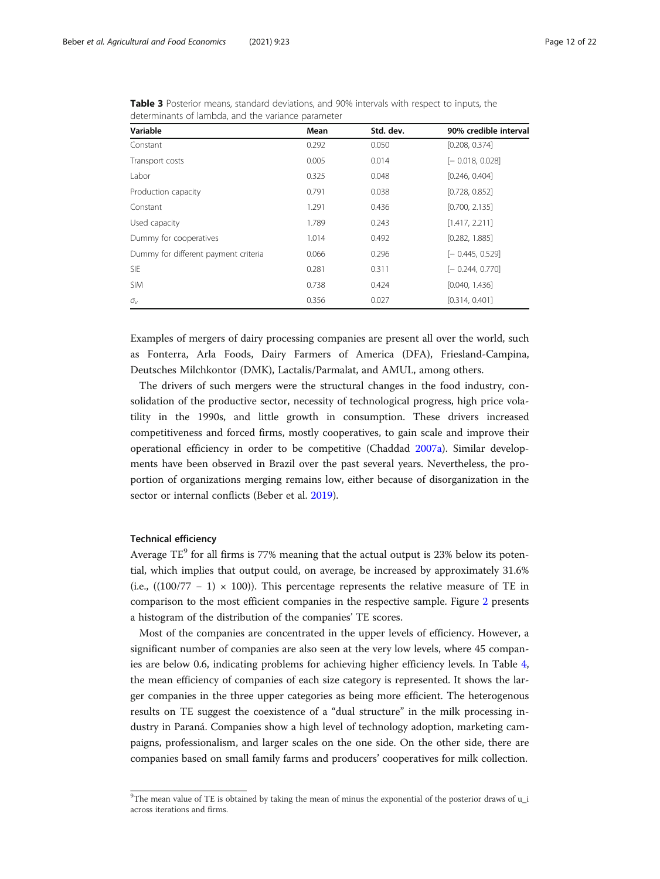| Variable                             | Mean  | Std. dev. | 90% credible interval |
|--------------------------------------|-------|-----------|-----------------------|
| Constant                             | 0.292 | 0.050     | [0.208, 0.374]        |
| Transport costs                      | 0.005 | 0.014     | $[-0.018, 0.028]$     |
| Labor                                | 0.325 | 0.048     | [0.246, 0.404]        |
| Production capacity                  | 0.791 | 0.038     | [0.728, 0.852]        |
| Constant                             | 1.291 | 0.436     | [0.700, 2.135]        |
| Used capacity                        | 1.789 | 0.243     | [1.417, 2.211]        |
| Dummy for cooperatives               | 1.014 | 0.492     | [0.282, 1.885]        |
| Dummy for different payment criteria | 0.066 | 0.296     | $[-0.445, 0.529]$     |
| <b>SIE</b>                           | 0.281 | 0.311     | $[-0.244, 0.770]$     |
| <b>SIM</b>                           | 0.738 | 0.424     | [0.040, 1.436]        |
| $\sigma_{\rm v}$                     | 0.356 | 0.027     | [0.314, 0.401]        |

<span id="page-11-0"></span>Table 3 Posterior means, standard deviations, and 90% intervals with respect to inputs, the determinants of lambda, and the variance parameter

Examples of mergers of dairy processing companies are present all over the world, such as Fonterra, Arla Foods, Dairy Farmers of America (DFA), Friesland-Campina, Deutsches Milchkontor (DMK), Lactalis/Parmalat, and AMUL, among others.

The drivers of such mergers were the structural changes in the food industry, consolidation of the productive sector, necessity of technological progress, high price volatility in the 1990s, and little growth in consumption. These drivers increased competitiveness and forced firms, mostly cooperatives, to gain scale and improve their operational efficiency in order to be competitive (Chaddad [2007a\)](#page-20-0). Similar developments have been observed in Brazil over the past several years. Nevertheless, the proportion of organizations merging remains low, either because of disorganization in the sector or internal conflicts (Beber et al. [2019](#page-19-0)).

# Technical efficiency

Average  $TE^9$  for all firms is 77% meaning that the actual output is 23% below its potential, which implies that output could, on average, be increased by approximately 31.6% (i.e.,  $((100/77 - 1) \times 100)$ ). This percentage represents the relative measure of TE in comparison to the most efficient companies in the respective sample. Figure [2](#page-12-0) presents a histogram of the distribution of the companies' TE scores.

Most of the companies are concentrated in the upper levels of efficiency. However, a significant number of companies are also seen at the very low levels, where 45 companies are below 0.6, indicating problems for achieving higher efficiency levels. In Table [4](#page-12-0), the mean efficiency of companies of each size category is represented. It shows the larger companies in the three upper categories as being more efficient. The heterogenous results on TE suggest the coexistence of a "dual structure" in the milk processing industry in Paraná. Companies show a high level of technology adoption, marketing campaigns, professionalism, and larger scales on the one side. On the other side, there are companies based on small family farms and producers' cooperatives for milk collection.

<sup>&</sup>lt;sup>9</sup>The mean value of TE is obtained by taking the mean of minus the exponential of the posterior draws of u\_i across iterations and firms.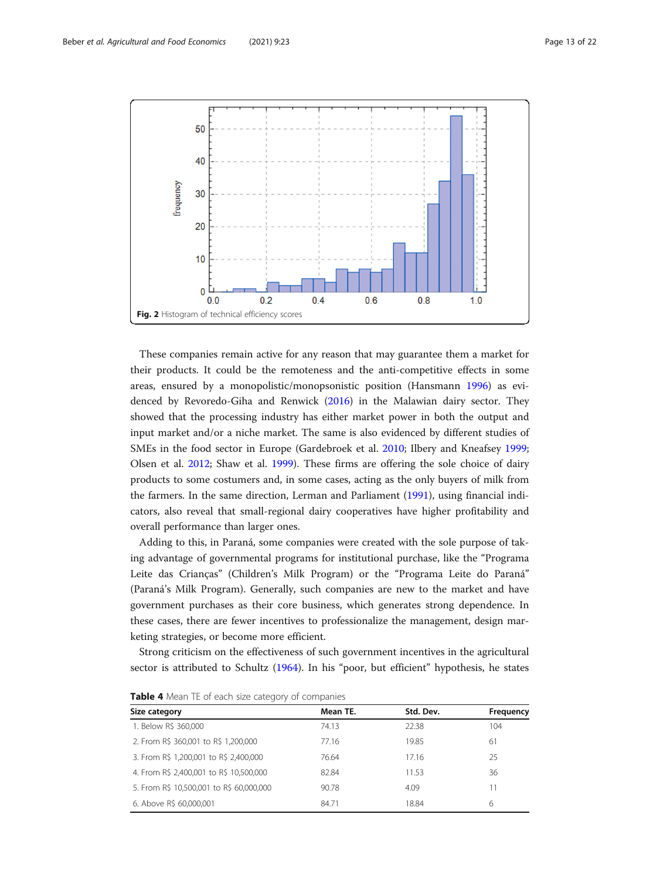<span id="page-12-0"></span>

These companies remain active for any reason that may guarantee them a market for their products. It could be the remoteness and the anti-competitive effects in some areas, ensured by a monopolistic/monopsonistic position (Hansmann [1996\)](#page-20-0) as evidenced by Revoredo-Giha and Renwick [\(2016\)](#page-21-0) in the Malawian dairy sector. They showed that the processing industry has either market power in both the output and input market and/or a niche market. The same is also evidenced by different studies of SMEs in the food sector in Europe (Gardebroek et al. [2010;](#page-20-0) Ilbery and Kneafsey [1999](#page-20-0); Olsen et al. [2012](#page-21-0); Shaw et al. [1999\)](#page-21-0). These firms are offering the sole choice of dairy products to some costumers and, in some cases, acting as the only buyers of milk from the farmers. In the same direction, Lerman and Parliament [\(1991](#page-20-0)), using financial indicators, also reveal that small-regional dairy cooperatives have higher profitability and overall performance than larger ones.

Adding to this, in Paraná, some companies were created with the sole purpose of taking advantage of governmental programs for institutional purchase, like the "Programa Leite das Crianças" (Children's Milk Program) or the "Programa Leite do Paraná" (Paraná's Milk Program). Generally, such companies are new to the market and have government purchases as their core business, which generates strong dependence. In these cases, there are fewer incentives to professionalize the management, design marketing strategies, or become more efficient.

Strong criticism on the effectiveness of such government incentives in the agricultural sector is attributed to Schultz [\(1964](#page-21-0)). In his "poor, but efficient" hypothesis, he states

| Size category                            | Mean TE. | Std. Dev. | Frequency |
|------------------------------------------|----------|-----------|-----------|
| 1. Below R\$ 360,000                     | 74.13    | 22.38     | 104       |
| 2. From R\$ 360,001 to R\$ 1,200,000     | 77.16    | 19.85     | 61        |
| 3. From R\$ 1,200,001 to R\$ 2,400,000   | 76.64    | 17.16     | 25        |
| 4. From R\$ 2,400,001 to R\$ 10,500,000  | 82.84    | 11.53     | 36        |
| 5. From R\$ 10,500,001 to R\$ 60,000,000 | 90.78    | 4.09      | 11        |
| 6. Above R\$ 60,000,001                  | 84.71    | 18.84     | 6         |

Table 4 Mean TE of each size category of companies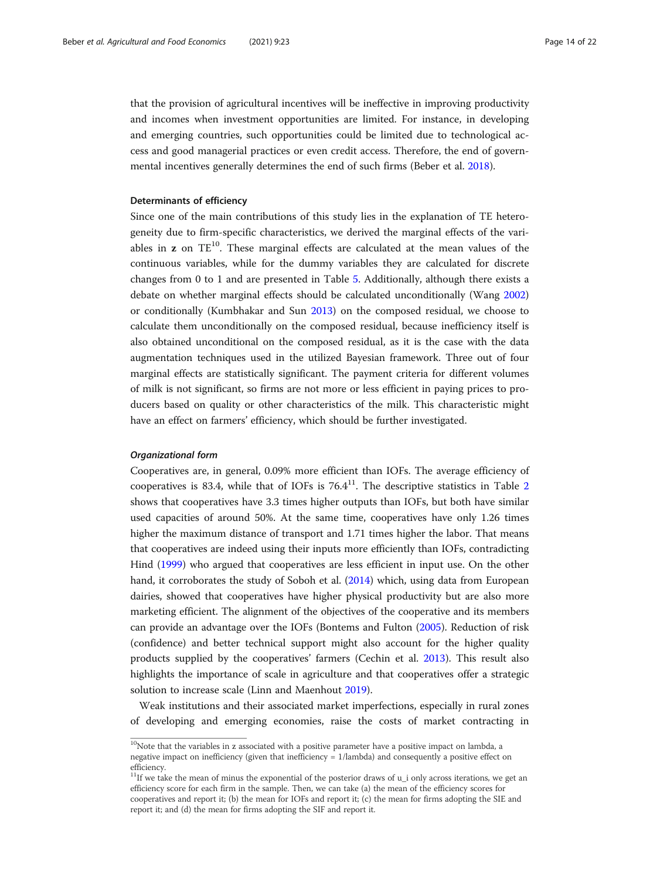that the provision of agricultural incentives will be ineffective in improving productivity and incomes when investment opportunities are limited. For instance, in developing and emerging countries, such opportunities could be limited due to technological access and good managerial practices or even credit access. Therefore, the end of governmental incentives generally determines the end of such firms (Beber et al. [2018\)](#page-19-0).

# Determinants of efficiency

Since one of the main contributions of this study lies in the explanation of TE heterogeneity due to firm-specific characteristics, we derived the marginal effects of the variables in  $z$  on  $TE^{10}$ . These marginal effects are calculated at the mean values of the continuous variables, while for the dummy variables they are calculated for discrete changes from 0 to 1 and are presented in Table [5](#page-14-0). Additionally, although there exists a debate on whether marginal effects should be calculated unconditionally (Wang [2002](#page-21-0)) or conditionally (Kumbhakar and Sun [2013](#page-20-0)) on the composed residual, we choose to calculate them unconditionally on the composed residual, because inefficiency itself is also obtained unconditional on the composed residual, as it is the case with the data augmentation techniques used in the utilized Bayesian framework. Three out of four marginal effects are statistically significant. The payment criteria for different volumes of milk is not significant, so firms are not more or less efficient in paying prices to producers based on quality or other characteristics of the milk. This characteristic might have an effect on farmers' efficiency, which should be further investigated.

# Organizational form

Cooperatives are, in general, 0.09% more efficient than IOFs. The average efficiency of cooperatives is 83.4, while that of IOFs is  $76.4^{11}$ . The descriptive statistics in Table [2](#page-10-0) shows that cooperatives have 3.3 times higher outputs than IOFs, but both have similar used capacities of around 50%. At the same time, cooperatives have only 1.26 times higher the maximum distance of transport and 1.71 times higher the labor. That means that cooperatives are indeed using their inputs more efficiently than IOFs, contradicting Hind [\(1999\)](#page-20-0) who argued that cooperatives are less efficient in input use. On the other hand, it corroborates the study of Soboh et al. [\(2014](#page-21-0)) which, using data from European dairies, showed that cooperatives have higher physical productivity but are also more marketing efficient. The alignment of the objectives of the cooperative and its members can provide an advantage over the IOFs (Bontems and Fulton ([2005](#page-19-0)). Reduction of risk (confidence) and better technical support might also account for the higher quality products supplied by the cooperatives' farmers (Cechin et al. [2013](#page-19-0)). This result also highlights the importance of scale in agriculture and that cooperatives offer a strategic solution to increase scale (Linn and Maenhout [2019](#page-20-0)).

Weak institutions and their associated market imperfections, especially in rural zones of developing and emerging economies, raise the costs of market contracting in

 $10$ Note that the variables in z associated with a positive parameter have a positive impact on lambda, a negative impact on inefficiency (given that inefficiency = 1/lambda) and consequently a positive effect on efficiency.

<sup>&</sup>lt;sup>11</sup>If we take the mean of minus the exponential of the posterior draws of  $u_i$  only across iterations, we get an efficiency score for each firm in the sample. Then, we can take (a) the mean of the efficiency scores for cooperatives and report it; (b) the mean for IOFs and report it; (c) the mean for firms adopting the SIE and report it; and (d) the mean for firms adopting the SIF and report it.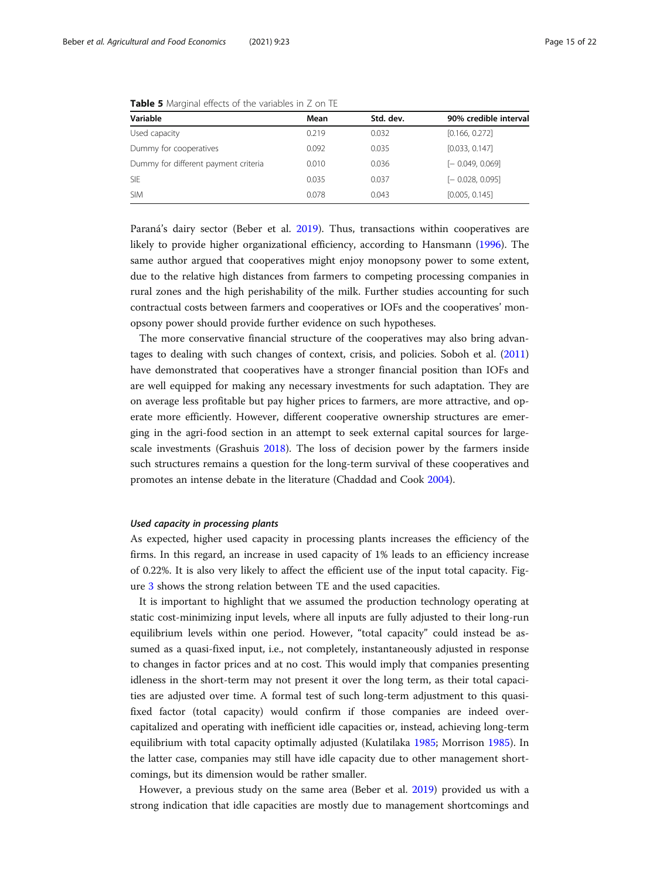| Variable                             | Mean  | Std. dev. | 90% credible interval |
|--------------------------------------|-------|-----------|-----------------------|
| Used capacity                        | 0.219 | 0.032     | [0.166, 0.272]        |
| Dummy for cooperatives               | 0.092 | 0.035     | [0.033, 0.147]        |
| Dummy for different payment criteria | 0.010 | 0.036     | $[-0.049, 0.069]$     |
| <b>SIE</b>                           | 0.035 | 0.037     | $[-0.028, 0.095]$     |
| <b>SIM</b>                           | 0.078 | 0.043     | [0.005, 0.145]        |

<span id="page-14-0"></span>Table 5 Marginal effects of the variables in Z on TE

Paraná's dairy sector (Beber et al. [2019](#page-19-0)). Thus, transactions within cooperatives are likely to provide higher organizational efficiency, according to Hansmann ([1996](#page-20-0)). The same author argued that cooperatives might enjoy monopsony power to some extent, due to the relative high distances from farmers to competing processing companies in rural zones and the high perishability of the milk. Further studies accounting for such contractual costs between farmers and cooperatives or IOFs and the cooperatives' monopsony power should provide further evidence on such hypotheses.

The more conservative financial structure of the cooperatives may also bring advantages to dealing with such changes of context, crisis, and policies. Soboh et al. ([2011](#page-21-0)) have demonstrated that cooperatives have a stronger financial position than IOFs and are well equipped for making any necessary investments for such adaptation. They are on average less profitable but pay higher prices to farmers, are more attractive, and operate more efficiently. However, different cooperative ownership structures are emerging in the agri-food section in an attempt to seek external capital sources for largescale investments (Grashuis [2018\)](#page-20-0). The loss of decision power by the farmers inside such structures remains a question for the long-term survival of these cooperatives and promotes an intense debate in the literature (Chaddad and Cook [2004\)](#page-20-0).

### Used capacity in processing plants

As expected, higher used capacity in processing plants increases the efficiency of the firms. In this regard, an increase in used capacity of 1% leads to an efficiency increase of 0.22%. It is also very likely to affect the efficient use of the input total capacity. Figure [3](#page-15-0) shows the strong relation between TE and the used capacities.

It is important to highlight that we assumed the production technology operating at static cost-minimizing input levels, where all inputs are fully adjusted to their long-run equilibrium levels within one period. However, "total capacity" could instead be assumed as a quasi-fixed input, i.e., not completely, instantaneously adjusted in response to changes in factor prices and at no cost. This would imply that companies presenting idleness in the short-term may not present it over the long term, as their total capacities are adjusted over time. A formal test of such long-term adjustment to this quasifixed factor (total capacity) would confirm if those companies are indeed overcapitalized and operating with inefficient idle capacities or, instead, achieving long-term equilibrium with total capacity optimally adjusted (Kulatilaka [1985](#page-20-0); Morrison [1985](#page-20-0)). In the latter case, companies may still have idle capacity due to other management shortcomings, but its dimension would be rather smaller.

However, a previous study on the same area (Beber et al. [2019\)](#page-19-0) provided us with a strong indication that idle capacities are mostly due to management shortcomings and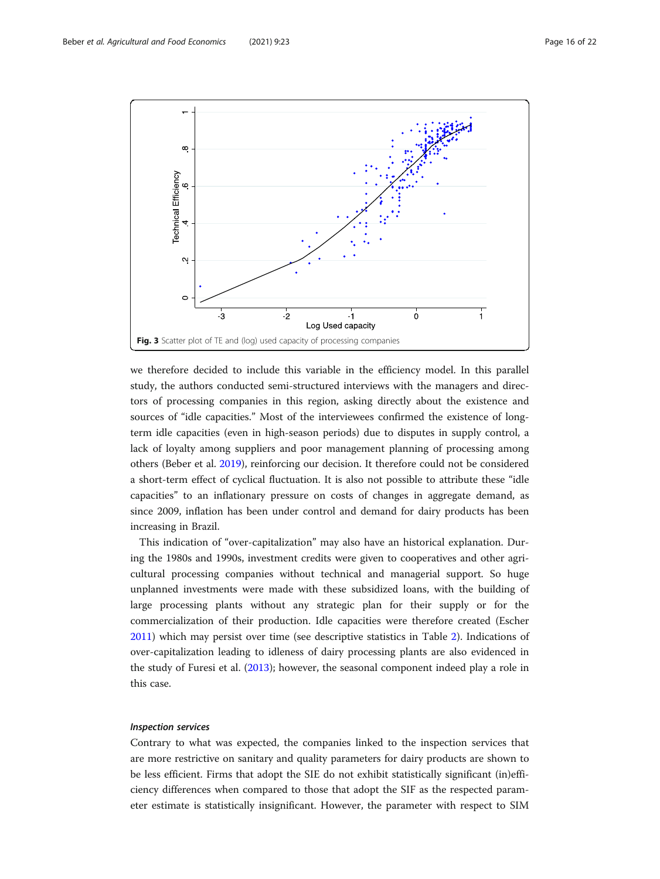<span id="page-15-0"></span>

we therefore decided to include this variable in the efficiency model. In this parallel study, the authors conducted semi-structured interviews with the managers and directors of processing companies in this region, asking directly about the existence and sources of "idle capacities." Most of the interviewees confirmed the existence of longterm idle capacities (even in high-season periods) due to disputes in supply control, a lack of loyalty among suppliers and poor management planning of processing among others (Beber et al. [2019\)](#page-19-0), reinforcing our decision. It therefore could not be considered a short-term effect of cyclical fluctuation. It is also not possible to attribute these "idle capacities" to an inflationary pressure on costs of changes in aggregate demand, as since 2009, inflation has been under control and demand for dairy products has been increasing in Brazil.

This indication of "over-capitalization" may also have an historical explanation. During the 1980s and 1990s, investment credits were given to cooperatives and other agricultural processing companies without technical and managerial support. So huge unplanned investments were made with these subsidized loans, with the building of large processing plants without any strategic plan for their supply or for the commercialization of their production. Idle capacities were therefore created (Escher [2011](#page-20-0)) which may persist over time (see descriptive statistics in Table [2](#page-10-0)). Indications of over-capitalization leading to idleness of dairy processing plants are also evidenced in the study of Furesi et al. ([2013](#page-20-0)); however, the seasonal component indeed play a role in this case.

## Inspection services

Contrary to what was expected, the companies linked to the inspection services that are more restrictive on sanitary and quality parameters for dairy products are shown to be less efficient. Firms that adopt the SIE do not exhibit statistically significant (in)efficiency differences when compared to those that adopt the SIF as the respected parameter estimate is statistically insignificant. However, the parameter with respect to SIM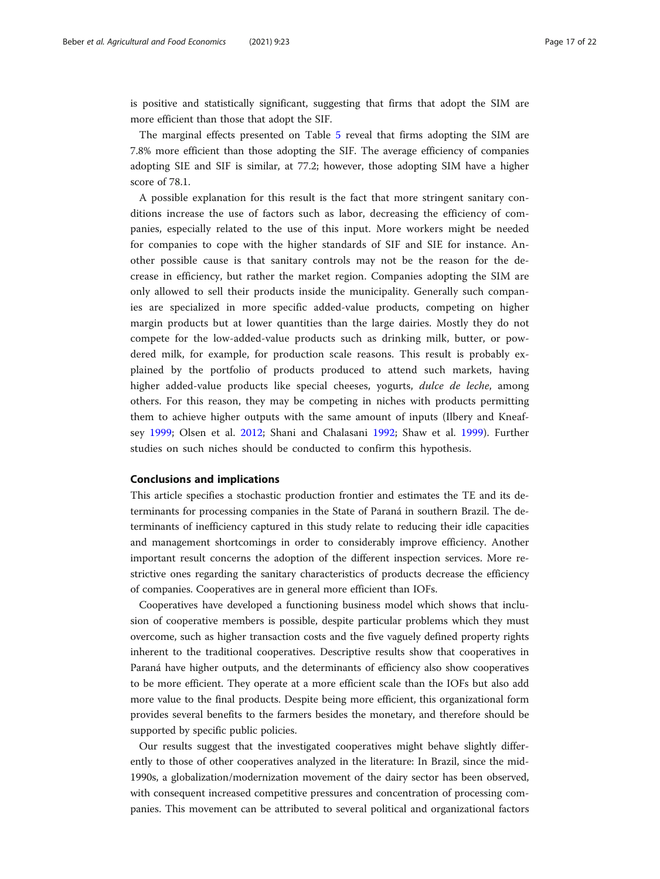is positive and statistically significant, suggesting that firms that adopt the SIM are more efficient than those that adopt the SIF.

The marginal effects presented on Table [5](#page-14-0) reveal that firms adopting the SIM are 7.8% more efficient than those adopting the SIF. The average efficiency of companies adopting SIE and SIF is similar, at 77.2; however, those adopting SIM have a higher score of 78.1.

A possible explanation for this result is the fact that more stringent sanitary conditions increase the use of factors such as labor, decreasing the efficiency of companies, especially related to the use of this input. More workers might be needed for companies to cope with the higher standards of SIF and SIE for instance. Another possible cause is that sanitary controls may not be the reason for the decrease in efficiency, but rather the market region. Companies adopting the SIM are only allowed to sell their products inside the municipality. Generally such companies are specialized in more specific added-value products, competing on higher margin products but at lower quantities than the large dairies. Mostly they do not compete for the low-added-value products such as drinking milk, butter, or powdered milk, for example, for production scale reasons. This result is probably explained by the portfolio of products produced to attend such markets, having higher added-value products like special cheeses, yogurts, dulce de leche, among others. For this reason, they may be competing in niches with products permitting them to achieve higher outputs with the same amount of inputs (Ilbery and Kneafsey [1999](#page-20-0); Olsen et al. [2012](#page-21-0); Shani and Chalasani [1992;](#page-21-0) Shaw et al. [1999](#page-21-0)). Further studies on such niches should be conducted to confirm this hypothesis.

# Conclusions and implications

This article specifies a stochastic production frontier and estimates the TE and its determinants for processing companies in the State of Paraná in southern Brazil. The determinants of inefficiency captured in this study relate to reducing their idle capacities and management shortcomings in order to considerably improve efficiency. Another important result concerns the adoption of the different inspection services. More restrictive ones regarding the sanitary characteristics of products decrease the efficiency of companies. Cooperatives are in general more efficient than IOFs.

Cooperatives have developed a functioning business model which shows that inclusion of cooperative members is possible, despite particular problems which they must overcome, such as higher transaction costs and the five vaguely defined property rights inherent to the traditional cooperatives. Descriptive results show that cooperatives in Paraná have higher outputs, and the determinants of efficiency also show cooperatives to be more efficient. They operate at a more efficient scale than the IOFs but also add more value to the final products. Despite being more efficient, this organizational form provides several benefits to the farmers besides the monetary, and therefore should be supported by specific public policies.

Our results suggest that the investigated cooperatives might behave slightly differently to those of other cooperatives analyzed in the literature: In Brazil, since the mid-1990s, a globalization/modernization movement of the dairy sector has been observed, with consequent increased competitive pressures and concentration of processing companies. This movement can be attributed to several political and organizational factors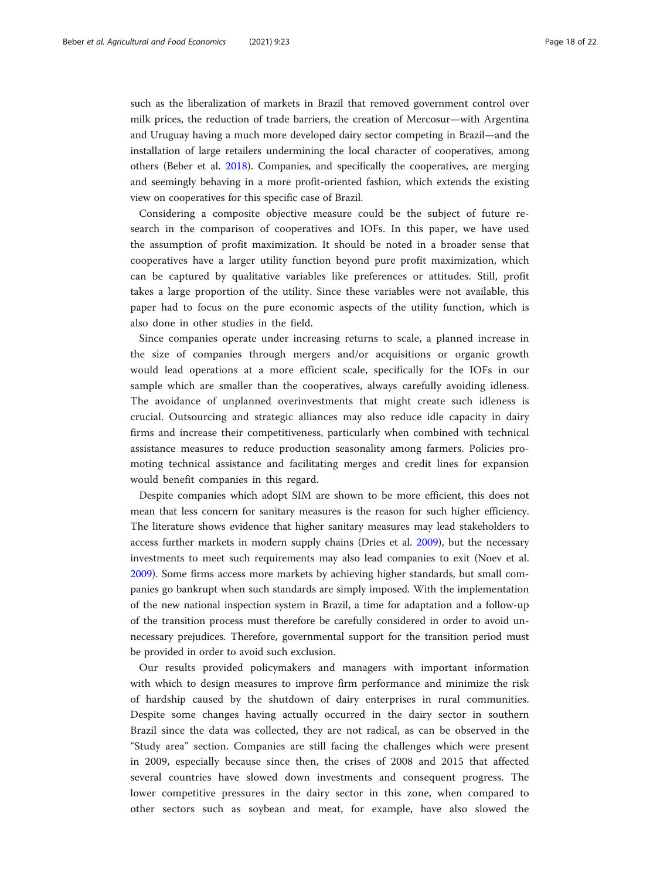such as the liberalization of markets in Brazil that removed government control over milk prices, the reduction of trade barriers, the creation of Mercosur—with Argentina and Uruguay having a much more developed dairy sector competing in Brazil—and the installation of large retailers undermining the local character of cooperatives, among others (Beber et al. [2018](#page-19-0)). Companies, and specifically the cooperatives, are merging and seemingly behaving in a more profit-oriented fashion, which extends the existing view on cooperatives for this specific case of Brazil.

Considering a composite objective measure could be the subject of future research in the comparison of cooperatives and IOFs. In this paper, we have used the assumption of profit maximization. It should be noted in a broader sense that cooperatives have a larger utility function beyond pure profit maximization, which can be captured by qualitative variables like preferences or attitudes. Still, profit takes a large proportion of the utility. Since these variables were not available, this paper had to focus on the pure economic aspects of the utility function, which is also done in other studies in the field.

Since companies operate under increasing returns to scale, a planned increase in the size of companies through mergers and/or acquisitions or organic growth would lead operations at a more efficient scale, specifically for the IOFs in our sample which are smaller than the cooperatives, always carefully avoiding idleness. The avoidance of unplanned overinvestments that might create such idleness is crucial. Outsourcing and strategic alliances may also reduce idle capacity in dairy firms and increase their competitiveness, particularly when combined with technical assistance measures to reduce production seasonality among farmers. Policies promoting technical assistance and facilitating merges and credit lines for expansion would benefit companies in this regard.

Despite companies which adopt SIM are shown to be more efficient, this does not mean that less concern for sanitary measures is the reason for such higher efficiency. The literature shows evidence that higher sanitary measures may lead stakeholders to access further markets in modern supply chains (Dries et al. [2009\)](#page-20-0), but the necessary investments to meet such requirements may also lead companies to exit (Noev et al. [2009](#page-21-0)). Some firms access more markets by achieving higher standards, but small companies go bankrupt when such standards are simply imposed. With the implementation of the new national inspection system in Brazil, a time for adaptation and a follow-up of the transition process must therefore be carefully considered in order to avoid unnecessary prejudices. Therefore, governmental support for the transition period must be provided in order to avoid such exclusion.

Our results provided policymakers and managers with important information with which to design measures to improve firm performance and minimize the risk of hardship caused by the shutdown of dairy enterprises in rural communities. Despite some changes having actually occurred in the dairy sector in southern Brazil since the data was collected, they are not radical, as can be observed in the "Study area" section. Companies are still facing the challenges which were present in 2009, especially because since then, the crises of 2008 and 2015 that affected several countries have slowed down investments and consequent progress. The lower competitive pressures in the dairy sector in this zone, when compared to other sectors such as soybean and meat, for example, have also slowed the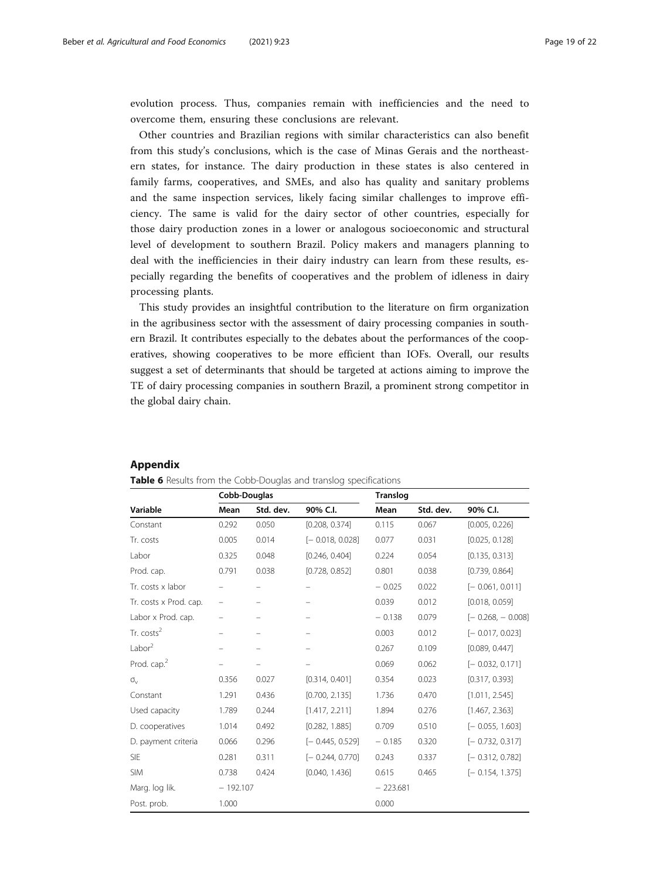<span id="page-18-0"></span>evolution process. Thus, companies remain with inefficiencies and the need to overcome them, ensuring these conclusions are relevant.

Other countries and Brazilian regions with similar characteristics can also benefit from this study's conclusions, which is the case of Minas Gerais and the northeastern states, for instance. The dairy production in these states is also centered in family farms, cooperatives, and SMEs, and also has quality and sanitary problems and the same inspection services, likely facing similar challenges to improve efficiency. The same is valid for the dairy sector of other countries, especially for those dairy production zones in a lower or analogous socioeconomic and structural level of development to southern Brazil. Policy makers and managers planning to deal with the inefficiencies in their dairy industry can learn from these results, especially regarding the benefits of cooperatives and the problem of idleness in dairy processing plants.

This study provides an insightful contribution to the literature on firm organization in the agribusiness sector with the assessment of dairy processing companies in southern Brazil. It contributes especially to the debates about the performances of the cooperatives, showing cooperatives to be more efficient than IOFs. Overall, our results suggest a set of determinants that should be targeted at actions aiming to improve the TE of dairy processing companies in southern Brazil, a prominent strong competitor in the global dairy chain.

| Table 6 Results from the Cobb-Douglas and translog specifications |              |           |                          |                 |           |                    |  |
|-------------------------------------------------------------------|--------------|-----------|--------------------------|-----------------|-----------|--------------------|--|
|                                                                   | Cobb-Douglas |           |                          | <b>Translog</b> |           |                    |  |
| Variable                                                          | Mean         | Std. dev. | 90% C.I.                 | Mean            | Std. dev. | 90% C.I.           |  |
| Constant                                                          | 0.292        | 0.050     | [0.208, 0.374]           | 0.115           | 0.067     | [0.005, 0.226]     |  |
| Tr. costs                                                         | 0.005        | 0.014     | $[-0.018, 0.028]$        | 0.077           | 0.031     | [0.025, 0.128]     |  |
| Labor                                                             | 0.325        | 0.048     | [0.246, 0.404]           | 0.224           | 0.054     | [0.135, 0.313]     |  |
| Prod. cap.                                                        | 0.791        | 0.038     | [0.728, 0.852]           | 0.801           | 0.038     | [0.739, 0.864]     |  |
| Tr. costs x labor                                                 |              |           | $\overline{\phantom{0}}$ | $-0.025$        | 0.022     | $[-0.061, 0.011]$  |  |
| Tr. costs x Prod. cap.                                            | -            |           |                          | 0.039           | 0.012     | [0.018, 0.059]     |  |
| Labor x Prod. cap.                                                |              |           |                          | $-0.138$        | 0.079     | $[-0.268, -0.008]$ |  |
| Tr. costs <sup>2</sup>                                            |              |           |                          | 0.003           | 0.012     | $[-0.017, 0.023]$  |  |
| Labor <sup>2</sup>                                                | -            | -         | $\overline{\phantom{0}}$ | 0.267           | 0.109     | [0.089, 0.447]     |  |
| Prod. cap. <sup>2</sup>                                           |              |           |                          | 0.069           | 0.062     | $[-0.032, 0.171]$  |  |
| $\sigma_{v}$                                                      | 0.356        | 0.027     | [0.314, 0.401]           | 0.354           | 0.023     | [0.317, 0.393]     |  |
| Constant                                                          | 1.291        | 0.436     | [0.700, 2.135]           | 1.736           | 0.470     | [1.011, 2.545]     |  |
| Used capacity                                                     | 1.789        | 0.244     | [1.417, 2.211]           | 1.894           | 0.276     | [1.467, 2.363]     |  |
| D. cooperatives                                                   | 1.014        | 0.492     | [0.282, 1.885]           | 0.709           | 0.510     | $[-0.055, 1.603]$  |  |
| D. payment criteria                                               | 0.066        | 0.296     | $[-0.445, 0.529]$        | $-0.185$        | 0.320     | $[-0.732, 0.317]$  |  |
| <b>SIE</b>                                                        | 0.281        | 0.311     | $[-0.244, 0.770]$        | 0.243           | 0.337     | $[-0.312, 0.782]$  |  |
| <b>SIM</b>                                                        | 0.738        | 0.424     | [0.040, 1.436]           | 0.615           | 0.465     | $[-0.154, 1.375]$  |  |
| Marg. log lik.                                                    | $-192.107$   |           |                          | $-223.681$      |           |                    |  |
| Post. prob.                                                       | 1.000        |           |                          | 0.000           |           |                    |  |

# Appendix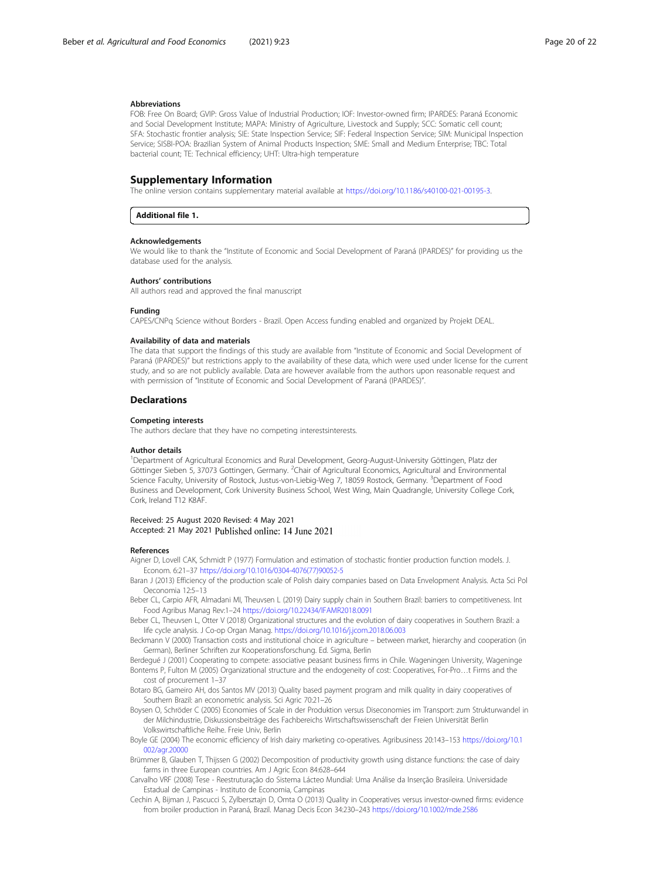#### <span id="page-19-0"></span>Abbreviations

FOB: Free On Board; GVIP: Gross Value of Industrial Production; IOF: Investor-owned firm; IPARDES: Paraná Economic and Social Development Institute; MAPA: Ministry of Agriculture, Livestock and Supply; SCC: Somatic cell count; SFA: Stochastic frontier analysis; SIE: State Inspection Service; SIF: Federal Inspection Service; SIM: Municipal Inspection Service; SISBI-POA: Brazilian System of Animal Products Inspection; SME: Small and Medium Enterprise; TBC: Total bacterial count; TE: Technical efficiency; UHT: Ultra-high temperature

# Supplementary Information

The online version contains supplementary material available at [https://doi.org/10.1186/s40100-021-00195-3.](https://doi.org/10.1186/s40100-021-00195-3)

#### Additional file 1.

### Acknowledgements

We would like to thank the "Institute of Economic and Social Development of Paraná (IPARDES)" for providing us the database used for the analysis.

#### Authors' contributions

All authors read and approved the final manuscript

#### Funding

CAPES/CNPq Science without Borders - Brazil. Open Access funding enabled and organized by Projekt DEAL.

#### Availability of data and materials

The data that support the findings of this study are available from "Institute of Economic and Social Development of Paraná (IPARDES)" but restrictions apply to the availability of these data, which were used under license for the current study, and so are not publicly available. Data are however available from the authors upon reasonable request and with permission of "Institute of Economic and Social Development of Paraná (IPARDES)".

#### **Declarations**

#### Competing interests

The authors declare that they have no competing interestsinterests.

#### Author details

<sup>1</sup>Department of Agricultural Economics and Rural Development, Georg-August-University Göttingen, Platz der Göttinger Sieben 5, 37073 Gottingen, Germany. <sup>2</sup>Chair of Agricultural Economics, Agricultural and Environmental Science Faculty, University of Rostock, Justus-von-Liebig-Weg 7, 18059 Rostock, Germany. <sup>3</sup>Department of Food Business and Development, Cork University Business School, West Wing, Main Quadrangle, University College Cork, Cork, Ireland T12 K8AF.

#### Received: 25 August 2020 Revised: 4 May 2021 Accepted: 21 May 2021 Published online: 14 June 2021

#### References

- Aigner D, Lovell CAK, Schmidt P (1977) Formulation and estimation of stochastic frontier production function models. J. Econom. 6:21–37 [https://doi.org/10.1016/0304-4076\(77\)90052-5](https://doi.org/10.1016/0304-4076(77)90052-5)
- Baran J (2013) Efficiency of the production scale of Polish dairy companies based on Data Envelopment Analysis. Acta Sci Pol Oeconomia 12:5–13
- Beber CL, Carpio AFR, Almadani MI, Theuvsen L (2019) Dairy supply chain in Southern Brazil: barriers to competitiveness. Int Food Agribus Manag Rev:1–24 <https://doi.org/10.22434/IFAMR2018.0091>
- Beber CL, Theuvsen L, Otter V (2018) Organizational structures and the evolution of dairy cooperatives in Southern Brazil: a life cycle analysis. J Co-op Organ Manag. <https://doi.org/10.1016/j.jcom.2018.06.003>
- Beckmann V (2000) Transaction costs and institutional choice in agriculture between market, hierarchy and cooperation (in German), Berliner Schriften zur Kooperationsforschung. Ed. Sigma, Berlin
- Berdegué J (2001) Cooperating to compete: associative peasant business firms in Chile. Wageningen University, Wageninge Bontems P, Fulton M (2005) Organizational structure and the endogeneity of cost: Cooperatives, For-Pro…t Firms and the cost of procurement 1–37
- Botaro BG, Gameiro AH, dos Santos MV (2013) Quality based payment program and milk quality in dairy cooperatives of Southern Brazil: an econometric analysis. Sci Agric 70:21–26
- Boysen O, Schröder C (2005) Economies of Scale in der Produktion versus Diseconomies im Transport: zum Strukturwandel in der Milchindustrie, Diskussionsbeiträge des Fachbereichs Wirtschaftswissenschaft der Freien Universität Berlin Volkswirtschaftliche Reihe. Freie Univ, Berlin
- Boyle GE (2004) The economic efficiency of Irish dairy marketing co-operatives. Agribusiness 20:143–153 [https://doi.org/10.1](https://doi.org/10.1002/agr.20000) [002/agr.20000](https://doi.org/10.1002/agr.20000)
- Brümmer B, Glauben T, Thijssen G (2002) Decomposition of productivity growth using distance functions: the case of dairy farms in three European countries. Am J Agric Econ 84:628–644
- Carvalho VRF (2008) Tese Reestruturação do Sistema Lácteo Mundial: Uma Análise da Inserção Brasileira. Universidade Estadual de Campinas - Instituto de Economia, Campinas
- Cechin A, Bijman J, Pascucci S, Zylbersztajn D, Omta O (2013) Quality in Cooperatives versus investor-owned firms: evidence from broiler production in Paraná, Brazil. Manag Decis Econ 34:230–243 <https://doi.org/10.1002/mde.2586>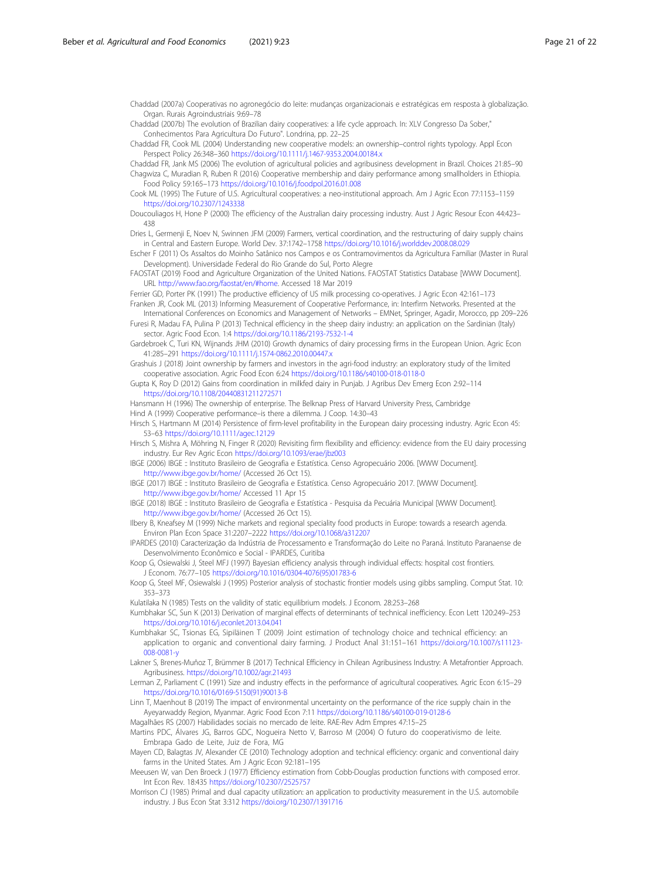<span id="page-20-0"></span>Chaddad (2007a) Cooperativas no agronegócio do leite: mudanças organizacionais e estratégicas em resposta à globalização. Organ. Rurais Agroindustriais 9:69–78

Chaddad (2007b) The evolution of Brazilian dairy cooperatives: a life cycle approach. In: XLV Congresso Da Sober," Conhecimentos Para Agricultura Do Futuro". Londrina, pp. 22–25

Chaddad FR, Cook ML (2004) Understanding new cooperative models: an ownership–control rights typology. Appl Econ Perspect Policy 26:348–360 <https://doi.org/10.1111/j.1467-9353.2004.00184.x>

Chaddad FR, Jank MS (2006) The evolution of agricultural policies and agribusiness development in Brazil. Choices 21:85–90 Chagwiza C, Muradian R, Ruben R (2016) Cooperative membership and dairy performance among smallholders in Ethiopia. Food Policy 59:165–173 <https://doi.org/10.1016/j.foodpol.2016.01.008>

Cook ML (1995) The Future of U.S. Agricultural cooperatives: a neo-institutional approach. Am J Agric Econ 77:1153–1159 <https://doi.org/10.2307/1243338>

Doucouliagos H, Hone P (2000) The efficiency of the Australian dairy processing industry. Aust J Agric Resour Econ 44:423– 438

Dries L, Germenji E, Noev N, Swinnen JFM (2009) Farmers, vertical coordination, and the restructuring of dairy supply chains in Central and Eastern Europe. World Dev. 37:1742–1758 <https://doi.org/10.1016/j.worlddev.2008.08.029>

Escher F (2011) Os Assaltos do Moinho Satânico nos Campos e os Contramovimentos da Agricultura Familiar (Master in Rural Development). Universidade Federal do Rio Grande do Sul, Porto Alegre

FAOSTAT (2019) Food and Agriculture Organization of the United Nations. FAOSTAT Statistics Database [WWW Document]. URL [http://www.fao.org/faostat/en/#home.](http://www.fao.org/faostat/en/#home) Accessed 18 Mar 2019

Ferrier GD, Porter PK (1991) The productive efficiency of US milk processing co-operatives. J Agric Econ 42:161–173 Franken JR, Cook ML (2013) Informing Measurement of Cooperative Performance, in: Interfirm Networks. Presented at the

International Conferences on Economics and Management of Networks – EMNet, Springer, Agadir, Morocco, pp 209–226 Furesi R, Madau FA, Pulina P (2013) Technical efficiency in the sheep dairy industry: an application on the Sardinian (Italy) sector. Agric Food Econ. 1:4 <https://doi.org/10.1186/2193-7532-1-4>

Gardebroek C, Turi KN, Wijnands JHM (2010) Growth dynamics of dairy processing firms in the European Union. Agric Econ 41:285–291 <https://doi.org/10.1111/j.1574-0862.2010.00447.x>

Grashuis J (2018) Joint ownership by farmers and investors in the agri-food industry: an exploratory study of the limited cooperative association. Agric Food Econ 6:24 <https://doi.org/10.1186/s40100-018-0118-0>

Gupta K, Roy D (2012) Gains from coordination in milkfed dairy in Punjab. J Agribus Dev Emerg Econ 2:92–114 <https://doi.org/10.1108/20440831211272571>

Hansmann H (1996) The ownership of enterprise. The Belknap Press of Harvard University Press, Cambridge Hind A (1999) Cooperative performance–is there a dilemma. J Coop. 14:30–43

Hirsch S, Hartmann M (2014) Persistence of firm-level profitability in the European dairy processing industry. Agric Econ 45: 53–63 <https://doi.org/10.1111/agec.12129>

Hirsch S, Mishra A, Möhring N, Finger R (2020) Revisiting firm flexibility and efficiency: evidence from the EU dairy processing industry. Eur Rev Agric Econ <https://doi.org/10.1093/erae/jbz003>

IBGE (2006) IBGE :: Instituto Brasileiro de Geografia e Estatística. Censo Agropecuário 2006. [WWW Document]. <http://www.ibge.gov.br/home/> (Accessed 26 Oct 15).

IBGE (2017) IBGE :: Instituto Brasileiro de Geografia e Estatística. Censo Agropecuário 2017. [WWW Document]. <http://www.ibge.gov.br/home/> Accessed 11 Apr 15

IBGE (2018) IBGE :: Instituto Brasileiro de Geografia e Estatística - Pesquisa da Pecuária Municipal [WWW Document]. <http://www.ibge.gov.br/home/> (Accessed 26 Oct 15).

Ilbery B, Kneafsey M (1999) Niche markets and regional speciality food products in Europe: towards a research agenda. Environ Plan Econ Space 31:2207–2222 <https://doi.org/10.1068/a312207>

IPARDES (2010) Caracterização da Indústria de Processamento e Transformação do Leite no Paraná. Instituto Paranaense de Desenvolvimento Econômico e Social - IPARDES, Curitiba

Koop G, Osiewalski J, Steel MFJ (1997) Bayesian efficiency analysis through individual effects: hospital cost frontiers. J Econom. 76:77–105 [https://doi.org/10.1016/0304-4076\(95\)01783-6](https://doi.org/10.1016/0304-4076(95)01783-6)

Koop G, Steel MF, Osiewalski J (1995) Posterior analysis of stochastic frontier models using gibbs sampling. Comput Stat. 10: 353–373

Kulatilaka N (1985) Tests on the validity of static equilibrium models. J Econom. 28:253–268

Kumbhakar SC, Sun K (2013) Derivation of marginal effects of determinants of technical inefficiency. Econ Lett 120:249–253 <https://doi.org/10.1016/j.econlet.2013.04.041>

Kumbhakar SC, Tsionas EG, Sipiläinen T (2009) Joint estimation of technology choice and technical efficiency: an application to organic and conventional dairy farming. J Product Anal 31:151–161 [https://doi.org/10.1007/s11123-](https://doi.org/10.1007/s11123-008-0081-y) [008-0081-y](https://doi.org/10.1007/s11123-008-0081-y)

Lakner S, Brenes-Muñoz T, Brümmer B (2017) Technical Efficiency in Chilean Agribusiness Industry: A Metafrontier Approach. Agribusiness. <https://doi.org/10.1002/agr.21493>

Lerman Z, Parliament C (1991) Size and industry effects in the performance of agricultural cooperatives. Agric Econ 6:15–29 [https://doi.org/10.1016/0169-5150\(91\)90013-B](https://doi.org/10.1016/0169-5150(91)90013-B)

Linn T, Maenhout B (2019) The impact of environmental uncertainty on the performance of the rice supply chain in the Ayeyarwaddy Region, Myanmar. Agric Food Econ 7:11 <https://doi.org/10.1186/s40100-019-0128-6>

Magalhães RS (2007) Habilidades sociais no mercado de leite. RAE-Rev Adm Empres 47:15–25

Martins PDC, Álvares JG, Barros GDC, Nogueira Netto V, Barroso M (2004) O futuro do cooperativismo de leite. Embrapa Gado de Leite, Juiz de Fora, MG

Mayen CD, Balagtas JV, Alexander CE (2010) Technology adoption and technical efficiency: organic and conventional dairy farms in the United States. Am J Agric Econ 92:181–195

Meeusen W, van Den Broeck J (1977) Efficiency estimation from Cobb-Douglas production functions with composed error. Int Econ Rev. 18:435 <https://doi.org/10.2307/2525757>

Morrison CJ (1985) Primal and dual capacity utilization: an application to productivity measurement in the U.S. automobile industry. J Bus Econ Stat 3:312 <https://doi.org/10.2307/1391716>